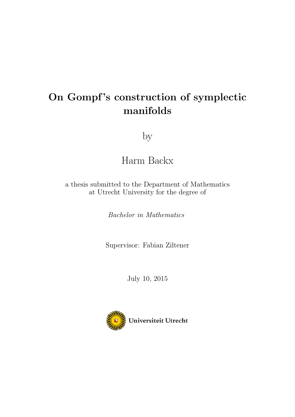# On Gompf's construction of symplectic manifolds

by

Harm Backx

a thesis submitted to the Department of Mathematics at Utrecht University for the degree of

Bachelor in Mathematics

Supervisor: Fabian Ziltener

July 10, 2015

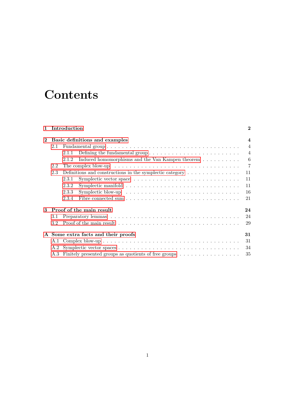# **Contents**

| $\mathbf{1}$ |                                     | Introduction |                                                                                                     | $\overline{2}$ |  |  |  |  |
|--------------|-------------------------------------|--------------|-----------------------------------------------------------------------------------------------------|----------------|--|--|--|--|
| $\bf{2}$     |                                     |              | Basic definitions and examples                                                                      | $\overline{4}$ |  |  |  |  |
|              | 2.1                                 |              |                                                                                                     | $\overline{4}$ |  |  |  |  |
|              |                                     | 2.1.1        |                                                                                                     | $\overline{4}$ |  |  |  |  |
|              |                                     | 2.1.2        | Induced homomorphisms and the Van Kampen theorem $\dots \dots \dots$                                | 6              |  |  |  |  |
|              | 2.2                                 |              | The complex blow-up $\dots \dots \dots \dots \dots \dots \dots \dots \dots \dots \dots \dots \dots$ | $\overline{7}$ |  |  |  |  |
|              | 2.3                                 |              | Definitions and constructions in the symplectic category $\dots \dots \dots \dots$                  | 11             |  |  |  |  |
|              |                                     | 2.3.1        |                                                                                                     | 11             |  |  |  |  |
|              |                                     | 2.3.2        | Symplectic manifold $\ldots \ldots \ldots \ldots \ldots \ldots \ldots \ldots \ldots \ldots$         | 11             |  |  |  |  |
|              |                                     | 2.3.3        | Symplectic blow-up $\dots \dots \dots \dots \dots \dots \dots \dots \dots \dots \dots$              | 16             |  |  |  |  |
|              |                                     | 2.3.4        |                                                                                                     | 21             |  |  |  |  |
| 3            | Proof of the main result<br>24      |              |                                                                                                     |                |  |  |  |  |
|              | 3.1                                 |              |                                                                                                     | 24             |  |  |  |  |
|              | 3.2                                 |              |                                                                                                     | 29             |  |  |  |  |
|              | A Some extra facts and their proofs |              |                                                                                                     |                |  |  |  |  |
|              |                                     |              |                                                                                                     | 31             |  |  |  |  |
|              |                                     |              |                                                                                                     | 34             |  |  |  |  |
|              | A.3                                 |              | Finitely presented groups as quotients of free groups $\dots \dots \dots \dots \dots$               | 35             |  |  |  |  |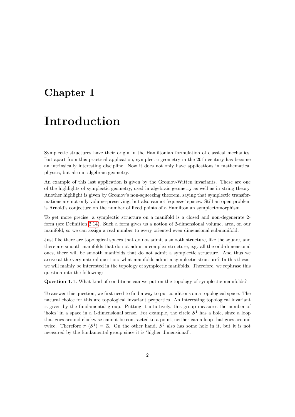## <span id="page-2-0"></span>Chapter 1

# Introduction

Symplectic structures have their origin in the Hamiltonian formulation of classical mechanics. But apart from this practical application, symplectic geometry in the 20th century has become an intrinsically interesting discipline. Now it does not only have applications in mathematical physics, but also in algebraic geometry.

An example of this last application is given by the Gromov-Witten invariants. These are one of the highlights of symplectic geometry, used in algebraic geometry as well as in string theory. Another highlight is given by Gromov's non-squeezing theorem, saying that symplectic transformations are not only volume-preserving, but also cannot 'squeeze' spaces. Still an open problem is Arnold's conjecture on the number of fixed points of a Hamiltonian symplectomorphism.

To get more precise, a symplectic structure on a manifold is a closed and non-degenerate 2 form (see Definition [2.14\)](#page-11-3). Such a form gives us a notion of 2-dimensional volume, area, on our manifold, so we can assign a real number to every oriented even dimensional submanifold.

Just like there are topological spaces that do not admit a smooth structure, like the square, and there are smooth manifolds that do not admit a complex structure, e.g. all the odd-dimensional ones, there will be smooth manifolds that do not admit a symplectic structure. And thus we arrive at the very natural question: what manifolds admit a symplectic structure? In this thesis, we will mainly be interested in the topology of symplectic manifolds. Therefore, we rephrase this question into the following:

Question 1.1. What kind of conditions can we put on the topology of symplectic manifolds?

To answer this question, we first need to find a way to put conditions on a topological space. The natural choice for this are topological invariant properties. An interesting topological invariant is given by the fundamental group. Putting it intuitively, this group measures the number of 'holes' in a space in a 1-dimensional sense. For example, the circle  $S<sup>1</sup>$  has a hole, since a loop that goes around clockwise cannot be contracted to a point, neither can a loop that goes around twice. Therefore  $\pi_1(S^1) = \mathbb{Z}$ . On the other hand,  $S^2$  also has some hole in it, but it is not measured by the fundamental group since it is 'higher dimensional'.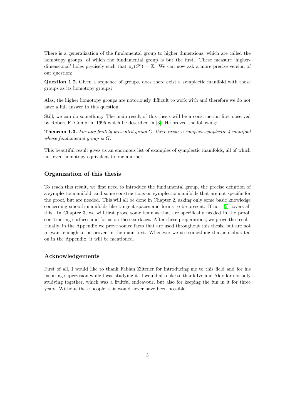There is a generalization of the fundamental group to higher dimensions, which are called the homotopy groups, of which the fundamental group is but the first. These measure 'higherdimensional' holes precisely such that  $\pi_k(S^k) = \mathbb{Z}$ . We can now ask a more precise version of our question:

Question 1.2. Given a sequence of groups, does there exist a symplectic manifold with those groups as its homotopy groups?

Alas, the higher homotopy groups are notoriously difficult to work with and therefore we do not have a full answer to this question.

Still, we can do something. The main result of this thesis will be a construction first observed by Robert E. Gompf in 1995 which he described in [\[3\]](#page-36-0). He proved the following:

<span id="page-3-0"></span>**Theorem 1.3.** For any finitely presented group  $G$ , there exists a compact symplectic 4-manifold whose fundamental group is G.

This beautiful result gives us an enormous list of examples of symplectic manifolds, all of which not even homotopy equivalent to one another.

#### Organization of this thesis

To reach this result, we first need to introduce the fundamental group, the precise defintion of a symplectic manifold, and some constructions on symplectic manifolds that are not specific for the proof, but are needed. This will all be done in Chapter 2, asking only some basic knowledge concerning smooth manifolds like tangent spaces and forms to be present. If not, [\[5\]](#page-36-1) covers all this. In Chapter 3, we will first prove some lemmas that are specifically needed in the proof, constructing surfaces and forms on these surfaces. After these preperations, we prove the result. Finally, in the Appendix we prove somce facts that are used throughout this thesis, but are not relevant enough to be proven in the main text. Whenever we use something that is elaborated on in the Appendix, it will be mentioned.

#### Acknowledgements

First of all, I would like to thank Fabian Ziltener for introducing me to this field and for his inspiring supervision while I was studying it. I would also like to thank Ivo and Aldo for not only studying together, which was a fruitful endeavour, but also for keeping the fun in it for three years. Without these people, this would never have been possible.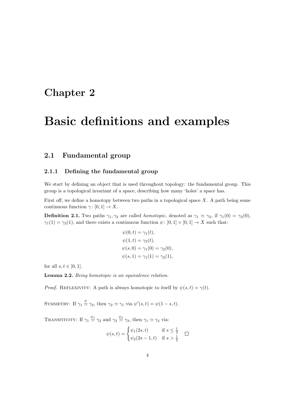## <span id="page-4-0"></span>Chapter 2

# Basic definitions and examples

## <span id="page-4-1"></span>2.1 Fundamental group

#### <span id="page-4-2"></span>2.1.1 Defining the fundamental group

We start by defining an object that is used throughout topology: the fundamental group. This group is a topological invariant of a space, describing how many 'holes' a space has.

First off, we define a homotopy between two paths in a topological space X. A path being some continuous function  $\gamma: [0, 1] \to X$ .

**Definition 2.1.** Two paths  $\gamma_1, \gamma_2$  are called *homotopic*, denoted as  $\gamma_1 \simeq \gamma_2$ , if  $\gamma_1(0) = \gamma_2(0)$ ,  $\gamma_1(1) = \gamma_2(1)$ , and there exists a continuous function  $\psi: [0,1] \times [0,1] \to X$  such that:

$$
\psi(0, t) = \gamma_1(t), \n\psi(1, t) = \gamma_2(t), \n\psi(s, 0) = \gamma_1(0) = \gamma_2(0), \n\psi(s, 1) = \gamma_1(1) = \gamma_2(1),
$$

for all  $s, t \in [0, 1]$ .

Lemma 2.2. Being homotopic is an equivalence relation.

*Proof.* REFLEXIVITY: A path is always homotopic to itself by  $\psi(s,t) = \gamma(t)$ .

SYMMETRY: If  $\gamma_1 \stackrel{\psi}{\simeq} \gamma_2$ , then  $\gamma_2 \simeq \gamma_1$  via  $\psi'(s,t) = \psi(1-s,t)$ .

TRANSITIVITY: If  $\gamma_1 \stackrel{\psi_1}{\simeq} \gamma_2$  and  $\gamma_2 \stackrel{\psi_2}{\simeq} \gamma_3$ , then  $\gamma_1 \simeq \gamma_3$  via:

$$
\psi(s,t) = \begin{cases} \psi_1(2s,t) & \text{if } s \leq \frac{1}{2} \\ \psi_2(2s-1,t) & \text{if } s > \frac{1}{2} \end{cases} \square
$$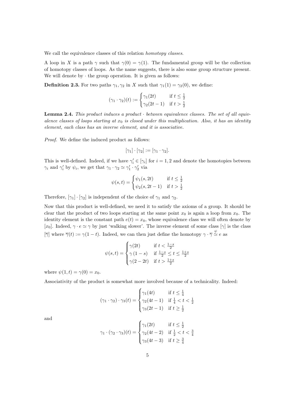We call the equivalence classes of this relation homotopy classes.

A loop in X is a path  $\gamma$  such that  $\gamma(0) = \gamma(1)$ . The fundamental group will be the collection of homotopy classes of loops. As the name suggests, there is also some group structure present. We will denote by  $\cdot$  the group operation. It is given as follows:

**Definition 2.3.** For two paths  $\gamma_1, \gamma_2$  in X such that  $\gamma_1(1) = \gamma_2(0)$ , we define:

$$
(\gamma_1 \cdot \gamma_2)(t) := \begin{cases} \gamma_1(2t) & \text{if } t \le \frac{1}{2} \\ \gamma_2(2t-1) & \text{if } t > \frac{1}{2} \end{cases}
$$

**Lemma 2.4.** This product induces a product  $\cdot$  between equivalence classes. The set of all equivalence classes of loops starting at  $x_0$  is closed under this multiplication. Also, it has an identity element, each class has an inverse element, and it is associative.

Proof. We define the induced product as follows:

$$
[\gamma_1] \cdot [\gamma_2] := [\gamma_1 \cdot \gamma_2].
$$

This is well-defined. Indeed, if we have  $\gamma_i' \in [\gamma_i]$  for  $i = 1, 2$  and denote the homotopies between  $\gamma_i$  and  $\gamma'_i$  by  $\psi_i$ , we get that  $\gamma_1 \cdot \gamma_2 \simeq \gamma'_1 \cdot \gamma'_2$  via

$$
\psi(s,t) = \begin{cases} \psi_1(s, 2t) & \text{if } t \le \frac{1}{2} \\ \psi_2(s, 2t - 1) & \text{if } t > \frac{1}{2} \end{cases}
$$

Therefore,  $[\gamma_1] \cdot [\gamma_2]$  is independent of the choice of  $\gamma_1$  and  $\gamma_2$ .

Now that this product is well-defined, we need it to satisfy the axioms of a group. It should be clear that the product of two loops starting at the same point  $x_0$  is again a loop from  $x_0$ . The identity element is the constant path  $e(t) = x_0$ , whose equivalence class we will often denote by [x<sub>0</sub>]. Indeed,  $\gamma \cdot e \simeq \gamma$  by just 'walking slower'. The inverse element of some class [ $\gamma$ ] is the class  $[\overline{\gamma}]$  where  $\overline{\gamma}(t) := \gamma(1-t)$ . Indeed, we can then just define the homotopy  $\gamma \cdot \overline{\gamma} \stackrel{\psi}{\simeq} e$  as

$$
\psi(s,t) = \begin{cases}\n\gamma(2t) & \text{if } t < \frac{1-s}{2} \\
\gamma(1-s) & \text{if } \frac{1-s}{2} \le t \le \frac{1+s}{2} \\
\gamma(2-2t) & \text{if } t > \frac{1+s}{2}\n\end{cases}
$$

where  $\psi(1,t) = \gamma(0) = x_0$ .

Associativity of the product is somewhat more involved because of a technicality. Indeed:

$$
(\gamma_1 \cdot \gamma_2) \cdot \gamma_3(t) = \begin{cases} \gamma_1(4t) & \text{if } t \le \frac{1}{4} \\ \gamma_2(4t - 1) & \text{if } \frac{1}{4} < t < \frac{1}{2} \\ \gamma_3(2t - 1) & \text{if } t \ge \frac{1}{2} \end{cases}
$$

and

$$
\gamma_1 \cdot (\gamma_2 \cdot \gamma_3)(t) = \begin{cases} \gamma_1(2t) & \text{if } t \le \frac{1}{2} \\ \gamma_2(4t - 2) & \text{if } \frac{1}{2} < t < \frac{3}{4} \\ \gamma_3(4t - 3) & \text{if } t \ge \frac{3}{4} \end{cases}
$$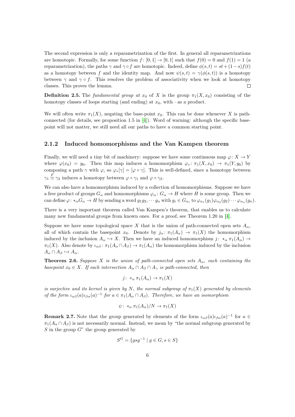The second expression is only a reparametrization of the first. In general all reparametrizations are homotopic. Formally, for some function  $f:[0,1] \to [0,1]$  such that  $f(0) = 0$  and  $f(1) = 1$  (a reparametrization), the paths  $\gamma$  and  $\gamma \circ f$  are homotopic. Indeed, define  $\phi(s,t) = st + (1-s)f(t)$ as a homotopy between f and the identity map. And now  $\psi(s,t) = \gamma(\phi(s,t))$  is a homotopy between  $\gamma$  and  $\gamma \circ f$ . This resolves the problem of associativity when we look at homotopy classes. This proves the lemma.  $\Box$ 

**Definition 2.5.** The fundamental group at  $x_0$  of X is the group  $\pi_1(X, x_0)$  consisting of the homotopy classes of loops starting (and ending) at  $x_0$ , with  $\cdot$  as a product.

We will often write  $\pi_1(X)$ , negating the base-point  $x_0$ . This can be done whenever X is pathconnected (for details, see proposition 1.5 in [\[4\]](#page-36-2)). Word of warning: although the specific basepoint will not matter, we still need all our paths to have a common starting point.

#### <span id="page-6-0"></span>2.1.2 Induced homomorphisms and the Van Kampen theorem

Finally, we will need a tiny bit of machinery: suppose we have some continuous map  $\varphi: X \to Y$ where  $\varphi(x_0) = y_0$ . Then this map induces a homomorphism  $\varphi_* : \pi_1(X, x_0) \to \pi_1(Y, y_0)$  by composing a path  $\gamma$  with  $\varphi$ , so  $\varphi_*[\gamma] = [\varphi \circ \gamma]$ . This is well-defined, since a homotopy between  $\gamma_1 \stackrel{F}{\simeq} \gamma_2$  induces a homotopy between  $\varphi \circ \gamma_1$  and  $\varphi \circ \gamma_2$ .

We can also have a homomorphism induced by a collection of homomorphisms. Suppose we have a free product of groups  $G_{\alpha}$  and homomorphisms  $\varphi_{\alpha} : G_{\alpha} \to H$  where H is some group. Then we can define  $\varphi: *_{\alpha}G_{\alpha} \to H$  by sending a word  $g_1g_2, \dots g_n$  with  $g_i \in G_{\alpha_i}$  to  $\varphi_{\alpha_1}(g_1)\varphi_{\alpha_2}(g_2)\dots \varphi_{\alpha_n}(g_n)$ .

There is a very important theorem called Van Kampen's theorem, that enables us to calculate many new fundamental groups from known ones. For a proof, see Theorem 1.20 in [\[4\]](#page-36-2).

Suppose we have some topological space X that is the union of path-connected open sets  $A_{\alpha}$ , all of which contain the basepoint  $x_0$ . Denote by  $j_\alpha : \pi_1(A_\alpha) \to \pi_1(X)$  the homomorphism induced by the inclusion  $A_{\alpha} \hookrightarrow X$ . Then we have an induced homomorphism  $j: *_{\alpha} \pi_1(A_{\alpha}) \to$  $\pi_1(X)$ . Also denote by  $\iota_{\alpha\beta} : \pi_1(A_\alpha \cap A_\beta) \to \pi_1(A_\alpha)$  the homomorphism induced by the inclusion  $A_{\alpha} \cap A_{\beta} \hookrightarrow A_{\alpha}$ .

<span id="page-6-1"></span>**Theorem 2.6.** Suppose X is the union of path-connected open sets  $A_{\alpha}$ , each containing the basepoint  $x_0 \in X$ . If each intersection  $A_\alpha \cap A_\beta \cap A_\gamma$  is path-connected, then

$$
j\colon *_{\alpha} \pi_1(A_{\alpha}) \to \pi_1(X)
$$

is surjective and its kernel is given by N, the normal subgroup of  $\pi_1(X)$  generated by elements of the form  $\iota_{\alpha\beta}(a)\iota_{\beta\alpha}(a)^{-1}$  for  $a \in \pi_1(A_\alpha \cap A_\beta)$ . Therefore, we have an isomorphism

$$
\psi \colon *_{\alpha} \pi_1(A_{\alpha})/N \to \pi_1(X)
$$

**Remark 2.7.** Note that the group generated by elements of the form  $\iota_{\alpha\beta}(a)\iota_{\beta\alpha}(a)^{-1}$  for  $a \in$  $\pi_1(A_\alpha \cap A_\beta)$  is not necessarily normal. Instead, we mean by "the normal subgroup generated by  $S$  in the group  $G^"$  the group generated by

$$
S^G = \{ gsg^{-1} \mid g \in G, s \in S \}
$$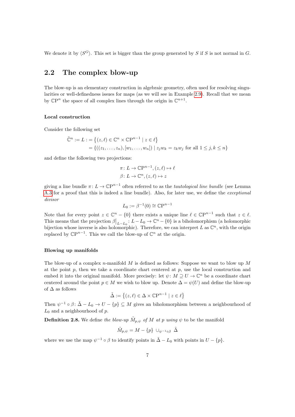We denote it by  $\langle S^G \rangle$ . This set is bigger than the group generated by S if S is not normal in G.

### <span id="page-7-0"></span>2.2 The complex blow-up

The blow-up is an elementary construction in algebraic geometry, often used for resolving singularities or well-definedness issues for maps (as we will see in Example [2.9\)](#page-8-0). Recall that we mean by  $\mathbb{C}P^n$  the space of all complex lines through the origin in  $\mathbb{C}^{n+1}$ .

#### Local construction

Consider the following set

$$
\tilde{\mathbb{C}}^n := L := \left\{ (z, \ell) \in \mathbb{C}^n \times \mathbb{C}P^{n-1} \mid z \in \ell \right\}
$$

$$
= \left\{ ((z_1, \dots, z_n), [w_1, \dots, w_n]) \mid z_j w_k = z_k w_j \text{ for all } 1 \le j, k \le n \right\}
$$

and define the following two projections:

$$
\pi: L \to \mathbb{C}\mathbb{P}^{n-1}, (z, \ell) \mapsto \ell
$$

$$
\beta: L \to \mathbb{C}^n, (z, \ell) \mapsto z
$$

giving a line bundle  $\pi: L \to \mathbb{C}P^{n-1}$  often referred to as the *tautological line bundle* (see Lemma [A.3](#page-33-0) for a proof that this is indeed a line bundle). Also, for later use, we define the exceptional divisor

$$
L_0 := \beta^{-1}(0) \cong \mathbb{C}\mathbf{P}^{n-1}
$$

Note that for every point  $z \in \mathbb{C}^n - \{0\}$  there exists a unique line  $\ell \in \mathbb{C}P^{n-1}$  such that  $z \in \ell$ . This means that the projection  $\beta|_{L-L_0}: L-L_0 \to \mathbb{C}^n - \{0\}$  is a biholomorphism (a holomorphic bijection whose inverse is also holomorphic). Therefore, we can interpret L as  $\mathbb{C}^n$ , with the origin replaced by  $\mathbb{C}P^{n-1}$ . This we call the blow-up of  $\mathbb{C}^n$  at the origin.

#### Blowing up manifolds

The blow-up of a complex n-manifold  $M$  is defined as follows: Suppose we want to blow up  $M$ at the point p, then we take a coordinate chart centered at p, use the local construction and embed it into the original manifold. More precisely: let  $\psi \colon M \supseteq U \to \mathbb{C}^n$  be a coordinate chart centered around the point  $p \in M$  we wish to blow up. Denote  $\Delta = \psi(U)$  and define the blow-up of  $\Delta$  as follows

$$
\tilde{\Delta} := \left\{ (z, \ell) \in \Delta \times \mathbb{C}P^{n-1} \mid z \in \ell \right\}
$$

Then  $\psi^{-1} \circ \beta \colon \tilde{\Delta} - L_0 \to U - \{p\} \subseteq M$  gives an biholomorphism between a neighbourhood of  $L_0$  and a neighbourhood of  $p$ .

**Definition 2.8.** We define the blow-up  $\tilde{M}_{p,\psi}$  of M at p using  $\psi$  to be the manifold

$$
\tilde{M}_{p,\psi} = M - \{p\} \cup_{\psi^{-1} \circ \beta} \tilde{\Delta}
$$

where we use the map  $\psi^{-1} \circ \beta$  to identify points in  $\tilde{\Delta} - L_0$  with points in  $U - \{p\}$ .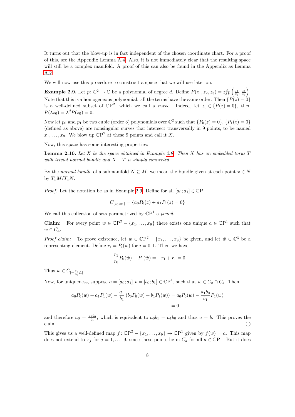It turns out that the blow-up is in fact independent of the chosen coordinate chart. For a proof of this, see the Appendix Lemma [A.4.](#page-33-1) Also, it is not immediately clear that the resulting space will still be a complex manifold. A proof of this can also be found in the Appendix as Lemma [A.2](#page-32-0)

We will now use this procedure to construct a space that we will use later on.

<span id="page-8-0"></span>**Example 2.9.** Let  $p: \mathbb{C}^2 \to \mathbb{C}$  be a polynomial of degree d. Define  $P(z_1, z_2, z_3) = z_3^d p\left(\frac{z_1}{z_3}, \frac{z_2}{z_3}\right)$ . Note that this is a homogeneous polynomial: all the terms have the same order. Then  $\{P(z) = 0\}$ is a well-defined subset of  $\mathbb{C}P^2$ , which we call a *curve*. Indeed, let  $z_0 \in \{P(z) = 0\}$ , then  $P(\lambda z_0) = \lambda^d P(z_0) = 0.$ 

Now let  $p_0$  and  $p_1$  be two cubic (order 3) polynomials over  $\mathbb{C}^2$  such that  $\{P_0(z) = 0\}$ ,  $\{P_1(z) = 0\}$ (defined as above) are nonsingular curves that intersect transversally in 9 points, to be named  $x_1, \ldots, x_9$ . We blow up  $\mathbb{C}P^2$  at these 9 points and call it X.

Now, this space has some interesting properties:

<span id="page-8-1"></span>**Lemma 2.10.** Let X be the space obtained in Example [2.9.](#page-8-0) Then X has an embedded torus  $T$ with trivial normal bundle and  $X - T$  is simply connected.

By the normal bundle of a submanifold  $N \subseteq M$ , we mean the bundle given at each point  $x \in N$ by  $T_xM/T_xN$ .

*Proof.* Let the notation be as in Example [2.9.](#page-8-0) Define for all  $[a_0; a_1] \in \mathbb{C}P^1$ 

$$
C_{[a_0;a_1]} = \{a_0P_0(z) + a_1P_1(z) = 0\}
$$

We call this collection of sets parametrized by  $\mathbb{C}P^1$  a pencil.

**Claim:** For every point  $w \in \mathbb{C}P^2 - \{x_1, \ldots, x_9\}$  there exists one unique  $a \in \mathbb{C}P^1$  such that  $w \in C_a$ .

*Proof claim:* To prove existence, let  $w \in \mathbb{C}P^2 - \{x_1, \ldots, x_9\}$  be given, and let  $\tilde{w} \in \mathbb{C}^3$  be a representing element. Define  $r_i = P_i(\tilde{w})$  for  $i = 0, 1$ . Then we have

$$
-\frac{r_1}{r_0}P_0(\tilde{w}) + P_1(\tilde{w}) = -r_1 + r_1 = 0
$$

Thus  $w \in C_{[-\frac{r_1}{r_0};1]}$ .

Now, for uniqueness, suppose  $a = [a_0; a_1], b = [b_0; b_1] \in \mathbb{C}\mathbb{P}^1$ , such that  $w \in C_a \cap C_b$ . Then

$$
a_0 P_0(w) + a_1 P_1(w) - \frac{a_1}{b_1} (b_0 P_0(w) + b_1 P_1(w)) = a_0 P_0(w) - \frac{a_1 b_0}{b_1} P_1(w)
$$
  
= 0

and therefore  $a_0 = \frac{a_1 b_0}{b_1}$ , which is equivalent to  $a_0 b_1 = a_1 b_0$  and thus  $a = b$ . This proves the claim  $\bigcirc$ 

This gives us a well-defined map  $f: \mathbb{C}P^2 - \{x_1, \ldots, x_9\} \to \mathbb{C}P^1$  given by  $f(w) = a$ . This map does not extend to  $x_j$  for  $j = 1, ..., 9$ , since these points lie in  $C_a$  for all  $a \in \mathbb{C}P^1$ . But it does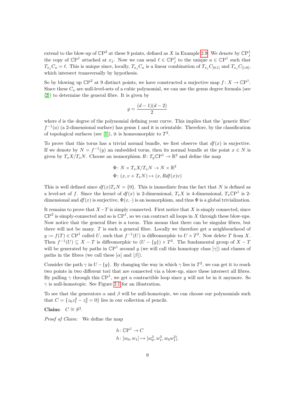extend to the blow-up of  $\mathbb{C}\mathbb{P}^2$  at these 9 points, defined as X in Example [2.9.](#page-8-0) We denote by  $\mathbb{C}\mathbb{P}^1_j$ the copy of  $\mathbb{C}P^1$  attached at  $x_j$ . Now we can send  $\ell \in \mathbb{C}P^1_j$  to the unique  $a \in \mathbb{C}P^1$  such that  $T_{x_i}C_a = \ell$ . This is unique since, locally,  $T_{x_i}C_a$  is a linear combination of  $T_{x_i}C_{[0;1]}$  and  $T_{x_i}C_{[1;0]}$ , which intersect transversally by hypothesis.

So by blowing up  $\mathbb{C}P^2$  at 9 distinct points, we have constructed a surjective map  $f: X \to \mathbb{C}P^1$ . Since these  $C_a$  are null-level-sets of a cubic polynomial, we can use the genus degree formula (see [\[2\]](#page-36-3)) to determine the general fibre. It is given by

$$
g=\frac{(d-1)(d-2)}{2}
$$

where  $d$  is the degree of the polynomial defining your curve. This implies that the 'generic fibre'  $f^{-1}(a)$  (a 2-dimensional surface) has genus 1 and it is orientable. Therefore, by the classification of topological surfaces (see [\[1\]](#page-36-4)), it is homeomorphic to  $T^2$ .

To prove that this torus has a trivial normal bundle, we first observe that  $df(x)$  is surjective. If we denote by  $N = f^{-1}(y)$  an embedded torus, then its normal bundle at the point  $x \in N$  is given by  $T_x X/T_x N$ . Choose an isomorphism  $R: T_y \mathbb{C}P^1 \to \mathbb{R}^2$  and define the map

$$
\Phi: N \times T_x X / T_x N \to N \times \mathbb{R}^2
$$

$$
\Phi: (x, v + T_x N) \mapsto (x, Rdf(x)v)
$$

This is well defined since  $df(x)T_xN = \{0\}$ . This is immediate from the fact that N is defined as a level-set of f. Since the kernel of  $df(x)$  is 2-dimensional,  $T_xX$  is 4-dimensional,  $T_x\mathbb{C}P^1$  is 2dimensional and  $df(x)$  is surjective,  $\Phi(x, \cdot)$  is an isomorphism, and thus  $\Phi$  is a global trivialization.

It remains to prove that  $X-T$  is simply connected. First notice that X is simply connected, since  $\mathbb{C}P^2$  is simply-connected and so is  $\mathbb{C}P^1$ , so we can contract all loops in X through these blow-ups. Now notice that the general fibre is a torus. This means that there can be singular fibres, but there will not be many. T is such a general fibre. Locally we therefore get a neighbourhood of  $y := f(T) \in \mathbb{C}P^1$  called U, such that  $f^{-1}(U)$  is diffeomorphic to  $U \times T^2$ . Now delete T from X. Then  $f^{-1}(U) \subseteq X - T$  is diffeomorphic to  $(U - \{y\}) \times T^2$ . The fundamental group of  $X - T$ will be generated by paths in  $\mathbb{C}P^1$  around y (we will call this homotopy class  $[\gamma]$ ) and classes of paths in the fibres (we call these  $[\alpha]$  and  $[\beta]$ ).

Consider the path  $\gamma$  in  $U - \{y\}$ . By changing the way in which  $\gamma$  lies in  $T^2$ , we can get it to reach two points in two different tori that are connected via a blow-up, since these intersect all fibres. By pulling  $\gamma$  through this  $\mathbb{C}P^1$ , we get a contractible loop since y will not be in it anymore. So  $\gamma$  is null-homotopic. See Figure [2.1](#page-10-0) for an illustration.

To see that the generators  $\alpha$  and  $\beta$  will be null-homotopic, we can choose our polynomials such that  $C = \{z_0 z_1^2 - z_2^3 = 0\}$  lies in our collection of pencils.

Claim:  $C \cong S^2$ .

Proof of Claim: We define the map

$$
\begin{aligned} h \colon \mathbb{C}\mathrm{P}^1 &\rightarrow C \\ h \colon [w_0,w_1] &\mapsto [w_0^3,w_1^3,w_0w_1^2]. \end{aligned}
$$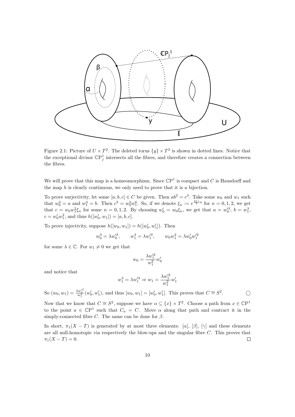

<span id="page-10-0"></span>Figure 2.1: Picture of  $U \times T^2$ . The deleted torus  $\{y\} \times T^2$  is shown in dotted lines. Notice that the exceptional divisor  $\mathbb{C}P_j^1$  intersects all the fibres, and therefore creates a connection between the fibres.

We will prove that this map is a homeomorphism. Since  $\mathbb{C}P<sup>1</sup>$  is compact and C is Hausdorff and the map  $h$  is clearly continuous, we only need to prove that it is a bijection.

To prove surjectivity, let some  $[a, b, c] \in C$  be given. Then  $ab^2 = c^3$ . Take some  $w_0$  and  $w_1$  such that  $w_0^3 = a$  and  $w_1^3 = b$ . Then  $c^3 = w_0^3 w_1^6$ . So, if we denote  $\xi_n := e^{\frac{2\pi i}{3}n}$  for  $n = 0, 1, 2$ , we get that  $c = w_0 w_1^2 \xi_n$  for some  $n = 0, 1, 2$ . By choosing  $w'_0 = w_0 \xi_n$ , we get that  $a = w_0^3$ ,  $b = w_1^3$ ,  $c = w'_0 w_1^2$ , and thus  $h([w'_0, w_1]) = [a, b, c]$ .

To prove injectivity, suppose  $h([w_0, w_1]) = h([w'_0, w'_1])$ . Then

$$
w_0^3 = \lambda w_0'^3
$$
,  $w_1^3 = \lambda w_1'^3$ ,  $w_0 w_1^2 = \lambda w_0' w_1'^2$ 

for some  $\lambda \in \mathbb{C}$ . For  $w_1 \neq 0$  we get that

$$
w_0=\frac{\lambda w_1'^2}{w_1^2}w_0'
$$

and notice that

$$
w_1^3 = \lambda w_1'^3 \Rightarrow w_1 = \frac{\lambda w_1'^2}{w_1^2} w_1'
$$

 $\bigcirc$ 

So  $(w_0, w_1) = \frac{\lambda w_1'^2}{w_1^2} (w_0', w_1'),$  and thus  $[w_0, w_1] = [w_0', w_1']$ . This proves that  $C \cong S^2$ 

Now that we know that  $C \cong S^2$ , suppose we have  $\alpha \subseteq \{x\} \times T^2$ . Choose a path from  $x \in \mathbb{C}P^1$ to the point  $a \in \mathbb{C}P^1$  such that  $C_a = C$ . Move  $\alpha$  along that path and contract it in the simply-connected fibre C. The same can be done for  $\beta$ .

In short,  $\pi_1(X-T)$  is generated by at most three elements: [ $\alpha$ ], [ $\beta$ ], [ $\gamma$ ] and these elements are all null-homotopic via respectively the blow-ups and the singular fibre C. This proves that  $\pi_1(X-T) = 0.$  $\Box$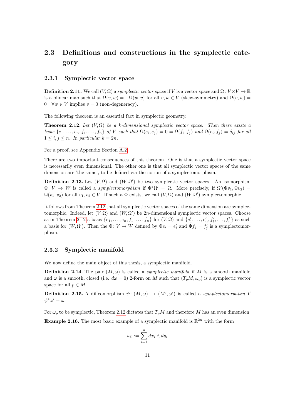## <span id="page-11-0"></span>2.3 Definitions and constructions in the symplectic category

#### <span id="page-11-1"></span>2.3.1 Symplectic vector space

**Definition 2.11.** We call  $(V, \Omega)$  a symplectic vector space if V is a vector space and  $\Omega: V \times V \to \mathbb{R}$ is a blinear map such that  $\Omega(v, w) = -\Omega(w, v)$  for all  $v, w \in V$  (skew-symmetry) and  $\Omega(v, w)$ 0  $\forall w \in V$  implies  $v = 0$  (non-degeneracy).

The following theorem is an essential fact in symplectic geometry.

<span id="page-11-4"></span>**Theorem 2.12.** Let  $(V, \Omega)$  be a k-dimensional symplectic vector space. Then there exists a basis  $\{e_1,\ldots,e_n,f_1,\ldots,f_n\}$  of V such that  $\Omega(e_i,e_j)=0=\Omega(f_i,f_j)$  and  $\Omega(e_i,f_j)=\delta_{ij}$  for all  $1 \leq i, j \leq n$ . In particular  $k = 2n$ .

For a proof, see Appendix Section [A.2.](#page-34-0)

There are two important consequences of this theorem. One is that a symplectic vector space is necessarily even dimensional. The other one is that all symplectic vector spaces of the same dimension are 'the same', to be defined via the notion of a symplectomorphism.

**Definition 2.13.** Let  $(V, \Omega)$  and  $(W, \Omega')$  be two symplectic vector spaces. An isomorphism  $\Phi: V \to W$  is called a *symplectomorphism* if  $\Phi^*\Omega' = \Omega$ . More precisely, if  $\Omega'(\Phi v_1, \Phi v_2)$  $\Omega(v_1, v_2)$  for all  $v_1, v_2 \in V$ . If such a  $\Phi$  exists, we call  $(V, \Omega)$  and  $(W, \Omega')$  symplectomorphic.

It follows from Theorem [2.12](#page-11-4) that all symplectic vector spaces of the same dimension are symplectomorphic. Indeed, let  $(V, \Omega)$  and  $(W, \Omega')$  be 2n-dimensional symplectic vector spaces. Choose as in Theorem [2.12](#page-11-4) a basis  $\{e_1, \ldots, e_n, f_1, \ldots, f_n\}$  for  $(V, \Omega)$  and  $\{e'_1, \ldots, e'_n, f'_1, \ldots, f'_n\}$  as such a basis for  $(W, \Omega')$ . Then the  $\Phi: V \to W$  defined by  $\Phi e_i = e'_i$  and  $\Phi f_j = f'_j$  is a symplectomorphism.

#### <span id="page-11-2"></span>2.3.2 Symplectic manifold

We now define the main object of this thesis, a symplectic manifold.

<span id="page-11-3"></span>**Definition 2.14.** The pair  $(M, \omega)$  is called a *symplectic manifold* if M is a smooth manifold and  $\omega$  is a smooth, closed (i.e.  $d\omega = 0$ ) 2-form on M such that  $(T_pM, \omega_p)$  is a symplectic vector space for all  $p \in M$ .

**Definition 2.15.** A diffeomorphism  $\psi: (M, \omega) \rightarrow (M', \omega')$  is called a *symplectomorphism* if  $\psi^*\omega'=\omega.$ 

For  $\omega_p$  to be symplectic, Theorem [2.12](#page-11-4) dictates that  $T_pM$  and therefore M has an even dimension.

<span id="page-11-5"></span>**Example 2.16.** The most basic example of a symplectic manifold is  $\mathbb{R}^{2n}$  with the form

$$
\omega_0 := \sum_{i=1}^n dx_i \wedge dy_i
$$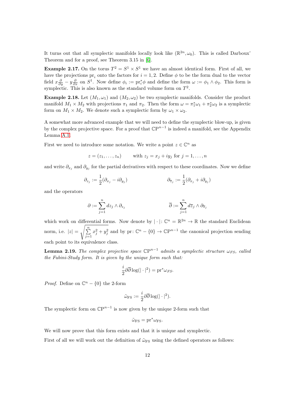It turns out that all symplectic manifolds locally look like  $(\mathbb{R}^{2n}, \omega_0)$ . This is called Darboux' Theorem and for a proof, see Theorem 3.15 in [\[6\]](#page-36-5).

**Example 2.17.** On the torus  $T^2 = S^1 \times S^1$  we have an almost identical form. First of all, we have the projections  $pr_i$  onto the factors for  $i = 1, 2$ . Define  $\phi$  to be the form dual to the vector field  $x\frac{\partial}{\partial y} - y\frac{\partial}{\partial x}$  on  $S^1$ . Now define  $\phi_i := \text{pr}_i^*\phi$  and define the form  $\omega := \phi_1 \wedge \phi_2$ . This form is symplectic. This is also known as the standard volume form on  $T^2$ .

**Example 2.18.** Let  $(M_1, \omega_1)$  and  $(M_2, \omega_2)$  be two symplectic manifolds. Consider the product manifold  $M_1 \times M_2$  with projections  $\pi_1$  and  $\pi_2$ . Then the form  $\omega = \pi_1^* \omega_1 + \pi_2^* \omega_2$  is a symplectic form on  $M_1 \times M_2$ . We denote such a symplectic form by  $\omega_1 \times \omega_2$ .

A somewhat more advanced example that we will need to define the symplectic blow-up, is given by the complex projective space. For a proof that  $\mathbb{C}P^{n-1}$  is indeed a manifold, see the Appendix Lemma [A.1.](#page-31-2)

First we need to introduce some notation. We write a point  $z \in \mathbb{C}^n$  as

$$
z = (z_1, \dots, z_n) \qquad \text{with } z_j = x_j + iy_j \text{ for } j = 1, \dots, n
$$

and write  $\partial_{x_j}$  and  $\partial_{y_j}$  for the partial derivatives with respect to these coordinates. Now we define

$$
\partial_{z_j} := \frac{1}{2}(\partial_{x_j} - i \partial_{y_j}) \qquad \qquad \partial_{\overline{z}_j} := \frac{1}{2}(\partial_{x_j} + i \partial_{y_j})
$$

and the operators

$$
\partial:=\sum_{j=1}^n dz_j\wedge \partial_{z_j}\qquad \qquad \overline{\partial}:=\sum_{j=1}^n d\overline{z}_j\wedge \partial_{\overline{z}_j}
$$

which work on differential forms. Now denote by  $|\cdot|: \mathbb{C}^n = \mathbb{R}^{2n} \to \mathbb{R}$  the standard Euclidean norm, i.e.  $|z|=$  $\sqrt{\sum_{n=1}^{n}}$  $j=1$  $x_j^2 + y_j^2$  and by pr:  $\mathbb{C}^n - \{0\} \to \mathbb{C}P^{n-1}$  the canonical projection sending each point to its equivalence class.

<span id="page-12-0"></span>**Lemma 2.19.** The complex projective space  $\mathbb{C}P^{n-1}$  admits a symplectic structure  $\omega_{FS}$ , called the Fubini-Study form. It is given by the unique form such that:

$$
\frac{i}{2}\partial\overline{\partial}\log(|\cdot|^2) = \mathrm{pr}^*\omega_{FS}.
$$

*Proof.* Define on  $\mathbb{C}^n - \{0\}$  the 2-form

$$
\tilde{\omega}_{\mathrm{FS}} := \frac{i}{2} \partial \overline{\partial} \log(|\cdot|^2).
$$

The symplectic form on  $\mathbb{C}P^{n-1}$  is now given by the unique 2-form such that

$$
\tilde{\omega}_{\text{FS}} = \text{pr}^* \omega_{\text{FS}}.
$$

We will now prove that this form exists and that it is unique and symplectic.

First of all we will work out the definition of  $\tilde{\omega}_{FS}$  using the defined operators as follows: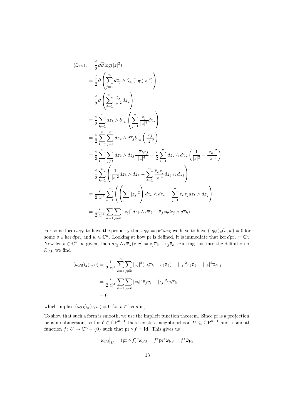$$
\begin{split}\n(\tilde{\omega}_{\text{FS}})_{z} &= \frac{i}{2} \partial \overline{\partial} \log(|z|^{2}) \\
&= \frac{i}{2} \partial \left( \sum_{j=1}^{n} d\overline{z}_{j} \wedge \partial_{\overline{z}_{j}} (\log(|z|^{2})) \right) \\
&= \frac{i}{2} \partial \left( \sum_{j=1}^{n} \frac{z_{j}}{|z|^{2}} d\overline{z}_{j} \right) \\
&= \frac{i}{2} \sum_{k=1}^{n} dz_{k} \wedge \partial_{z_{k}} \left( \sum_{j=1}^{n} \frac{z_{j}}{|z|^{2}} d\overline{z}_{j} \right) \\
&= \frac{i}{2} \sum_{k=1}^{n} \sum_{j=1}^{n} dz_{k} \wedge d\overline{z}_{j} \partial_{z_{k}} \left( \frac{z_{j}}{|z|^{2}} \right) \\
&= \frac{i}{2} \sum_{k=1}^{n} \sum_{j \neq k} dz_{k} \wedge d\overline{z}_{j} \frac{-\overline{z}_{k} z_{j}}{|z|^{4}} + \frac{i}{2} \sum_{k=1}^{n} dz_{k} \wedge d\overline{z}_{k} \left( \frac{1}{|z|^{2}} - \frac{|z_{k}|^{2}}{|z|^{4}} \right) \\
&= \frac{i}{2} \sum_{k=1}^{n} \left( \frac{1}{|z|^{2}} dz_{k} \wedge d\overline{z}_{k} - \sum_{j=1}^{n} \frac{\overline{z}_{k} z_{j}}{|z|^{4}} dz_{k} \wedge d\overline{z}_{j} \right) \\
&= \frac{i}{2|z|^{4}} \sum_{k=1}^{n} \left( \left( \sum_{j=1}^{n} |z_{j}|^{2} \right) dz_{k} \wedge d\overline{z}_{k} - \sum_{j=1}^{n} \overline{z}_{k} z_{j} dz_{k} \wedge d\overline{z}_{j} \right) \\
&= \frac{i}{2|z|^{4}} \sum_{k=1}^{n} \sum_{j \neq k} (|z_{j}|^{2} dz_{k} \wedge d\overline{z}_{k} - \overline{z}_{j} z_{k} dz_{j} \wedge d\overline{z}_{k})\n\end{split}
$$

For some form  $\omega_{FS}$  to have the property that  $\tilde{\omega}_{FS} = pr^* \omega_{FS}$  we have to have  $(\tilde{\omega}_{FS})_z(v, w) = 0$  for some  $v \in \text{ker } dpr_z$  and  $w \in \mathbb{C}^n$ . Looking at how pr is defined, it is immediate that ker  $dpr_z = \mathbb{C}z$ . Now let  $v \in \mathbb{C}^n$  be given, then  $dz_j \wedge d\overline{z}_k(z, v) = z_j \overline{v}_k - v_j \overline{z}_k$ . Putting this into the definition of  $\tilde{\omega}_{\text{FS}}$ , we find

$$
(\tilde{\omega}_{\text{FS}})_z(z,v) = \frac{i}{2|z|^4} \sum_{k=1}^n \sum_{j \neq k} |z_j|^2 (z_k \overline{v}_k - v_k \overline{z}_k) - |z_j|^2 z_k \overline{v}_k + |z_k|^2 \overline{z}_j v_j
$$

$$
= \frac{i}{2|z|^4} \sum_{k=1}^n \sum_{j \neq k} |z_k|^2 \overline{z}_j v_j - |z_j|^2 v_k \overline{z}_k
$$

$$
= 0
$$

which implies  $(\tilde{\omega}_{\text{FS}})_z(v, w) = 0$  for  $v \in \ker d\text{pr}_z$ .

To show that such a form is smooth, we use the implicit function theorem. Since pr is a projection, pr is a submersion, so for  $\ell \in \mathbb{C}P^{n-1}$  there exists a neighbourhood  $U \subseteq \mathbb{C}P^{n-1}$  and a smooth function  $f: U \to \mathbb{C}^n - \{0\}$  such that  $pr \circ f = Id$ . This gives us

$$
\omega_{\rm FS}|_U = (\text{pr} \circ f)^* \omega_{\rm FS} = f^* \text{pr}^* \omega_{\rm FS} = f^* \tilde{\omega}_{\rm FS}
$$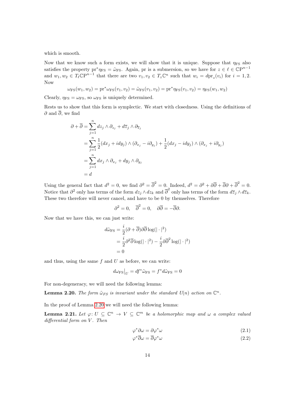which is smooth.

Now that we know such a form exists, we will show that it is unique. Suppose that  $\eta_{FS}$  also satisfies the property  $pr^*\eta_{FS} = \tilde{\omega}_{FS}$ . Again, pr is a submersion, so we have for  $z \in \ell \in \mathbb{C}P^{n-1}$ and  $w_1, w_2 \in T_\ell \mathbb{C}P^{n-1}$  that there are two  $v_1, v_2 \in T_z \mathbb{C}^n$  such that  $w_i = dpr_z(v_i)$  for  $i = 1, 2$ . Now

$$
\omega_{\rm FS}(w_1,w_2) = \text{pr}^* \omega_{\rm FS}(v_1,v_2) = \tilde{\omega}_{\rm FS}(v_1,v_2) = \text{pr}^* \eta_{\rm FS}(v_1,v_2) = \eta_{\rm FS}(w_1,w_2)
$$

Clearly,  $\eta_{\text{FS}} = \omega_{\text{FS}}$ , so  $\omega_{\text{FS}}$  is uniquely determined.

Rests us to show that this form is symplectic. We start with closedness. Using the definitions of  $\partial$  and  $\overline{\partial}$ , we find

$$
\partial + \overline{\partial} = \sum_{j=1}^{n} dz_j \wedge \partial_{z_j} + d\overline{z}_j \wedge \partial_{\overline{z}_j}
$$
  
= 
$$
\sum_{j=1}^{n} \frac{1}{2} (dx_j + idy_j) \wedge (\partial_{x_j} - i\partial_{y_j}) + \frac{1}{2} (dx_j - idy_j) \wedge (\partial_{x_j} + i\partial_{y_j})
$$
  
= 
$$
\sum_{j=1}^{n} dx_j \wedge \partial_{x_j} + dy_j \wedge \partial_{y_j}
$$
  
= 
$$
d
$$

Using the general fact that  $d^2 = 0$ , we find  $\partial^2 = \overline{\partial}^2 = 0$ . Indeed,  $d^2 = \partial^2 + \partial \overline{\partial} + \overline{\partial} \partial + \overline{\partial}^2 = 0$ . Notice that  $\partial^2$  only has terms of the form  $dz_j \wedge dz_k$  and  $\overline{\partial}^2$  only has terms of the form  $d\overline{z}_j \wedge d\overline{z}_k$ . These two therefore will never cancel, and have to be 0 by themselves. Therefore

$$
\partial^2 = 0, \quad \overline{\partial}^2 = 0, \quad \partial \overline{\partial} = -\overline{\partial} \partial.
$$

Now that we have this, we can just write:

$$
d\tilde{\omega}_{\text{FS}} = \frac{i}{2} (\partial + \overline{\partial}) \partial \overline{\partial} \log(|\cdot|^2)
$$
  
=  $\frac{i}{2} \partial^2 \overline{\partial} \log(|\cdot|^2) - \frac{i}{2} \partial \overline{\partial}^2 \log(|\cdot|^2)$   
= 0

and thus, using the same  $f$  and  $U$  as before, we can write:

$$
d\omega_{\rm FS}\big|_U = df^*\tilde\omega_{\rm FS} = f^*d\tilde\omega_{\rm FS} = 0
$$

For non-degeneracy, we will need the following lemma:

<span id="page-14-0"></span>**Lemma 2.20.** The form  $\tilde{\omega}_{FS}$  is invariant under the standard  $U(n)$  action on  $\mathbb{C}^n$ .

In the proof of Lemma [2.20](#page-14-0) we will need the following lemma:

<span id="page-14-1"></span>**Lemma 2.21.** Let  $\varphi: U \subseteq \mathbb{C}^n \to V \subseteq \mathbb{C}^m$  be a holomorphic map and  $\omega$  a complex valued  $differential form on V. Then$ 

<span id="page-14-2"></span>
$$
\varphi^* \partial \omega = \partial \varphi^* \omega \tag{2.1}
$$

<span id="page-14-3"></span>
$$
\varphi^* \overline{\partial} \omega = \overline{\partial} \varphi^* \omega \tag{2.2}
$$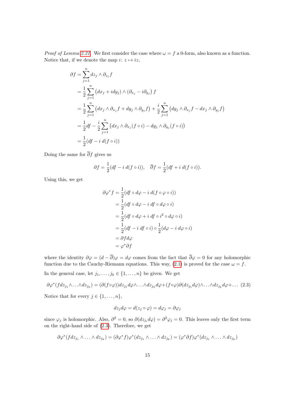*Proof of Lemma [2.21.](#page-14-1)* We first consider the case where  $\omega = f$  a 0-form, also known as a function. Notice that, if we denote the map  $i: z \mapsto iz$ ,

$$
\partial f = \sum_{j=1}^{n} dz_j \wedge \partial_{z_j} f
$$
  
=  $\frac{1}{2} \sum_{j=1}^{n} (dx_j + idy_j) \wedge (\partial_{x_j} - i \partial_{y_j}) f$   
=  $\frac{1}{2} \sum_{j=1}^{n} (dx_j \wedge \partial_{x_j} f + dy_j \wedge \partial_{y_j} f) + \frac{i}{2} \sum_{j=1}^{n} (dy_j \wedge \partial_{x_j} f - dx_j \wedge \partial_{y_j} f)$   
=  $\frac{1}{2} df - \frac{i}{2} \sum_{j=1}^{n} (dx_j \wedge \partial_{x_j} (f \circ i) - dy_j \wedge \partial_{y_j} (f \circ i))$   
=  $\frac{1}{2} (df - i d(f \circ i))$ 

Doing the same for  $\overline{\partial} f$  gives us

$$
\partial f = \frac{1}{2}(df - i\ d(f \circ i)), \quad \overline{\partial} f = \frac{1}{2}(df + i\ d(f \circ i)).
$$

Using this, we get

$$
\partial \varphi^* f = \frac{1}{2} (df \circ d\varphi - i \, d(f \circ \varphi \circ i))
$$
  
= 
$$
\frac{1}{2} (df \circ d\varphi - i \, df \circ d\varphi \circ i)
$$
  
= 
$$
\frac{1}{2} (df \circ d\varphi + i \, df \circ i^2 \circ d\varphi \circ i)
$$
  
= 
$$
\frac{1}{2} (df - i \, df \circ i) \circ \frac{1}{2} (d\varphi - i \, d\varphi \circ i)
$$
  
= 
$$
\partial f d\varphi
$$
  
= 
$$
\varphi^* \partial f
$$

where the identity  $\partial \varphi = (d - \overline{\partial})\varphi = d\varphi$  comes from the fact that  $\overline{\partial}\varphi = 0$  for any holomorphic function due to the Cauchy-Riemann equations. This way, [\(2.1\)](#page-14-2) is proved for the case  $\omega = f$ .

In the general case, let  $j_1, \ldots, j_k \in \{1, \ldots, n\}$  be given. We get

<span id="page-15-0"></span>
$$
\partial \varphi^*(fdz_{j_1} \wedge \ldots \wedge dz_{j_k}) = (\partial (f \circ \varphi))dz_{j_1}d\varphi \wedge \ldots \wedge dz_{j_k}d\varphi + (f \circ \varphi)\partial (dz_{j_1}d\varphi) \wedge \ldots \wedge dz_{j_k}d\varphi + \ldots (2.3)
$$

Notice that for every  $j \in \{1, \ldots, n\},\$ 

$$
dz_j d\varphi = d(z_j \circ \varphi) = d\varphi_j = \partial \varphi_j
$$

since  $\varphi_j$  is holomorphic. Also,  $\partial^2 = 0$ , so  $\partial (dz_{j_i} d\varphi) = \partial^2 \varphi_j = 0$ . This leaves only the first term on the right-hand side of [\(2.3\)](#page-15-0). Therefore, we get

$$
\partial \varphi^*(fdz_{j_1} \wedge \ldots \wedge dz_{j_k}) = (\partial \varphi^* f)\varphi^*(dz_{j_1} \wedge \ldots \wedge dz_{j_k}) = (\varphi^* \partial f)\varphi^*(dz_{j_1} \wedge \ldots \wedge dz_{j_k})
$$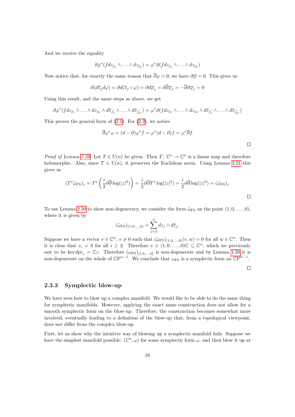And we receive the equality

$$
\partial \varphi^*(fdz_{j_1} \wedge \ldots \wedge dz_{j_k}) = \varphi^* \partial (fdz_{j_1} \wedge \ldots \wedge dz_{j_k})
$$

Now notice that, for exactly the same reason that  $\overline{\partial}\varphi = 0$ , we have  $\partial\overline{\varphi} = 0$ . This gives us

$$
\partial(d\overline{z}_j d\varphi) = \partial d(\overline{z}_j \circ \varphi) = \partial d\overline{\varphi}_j = \partial \overline{\partial} \overline{\varphi}_j = -\overline{\partial} \partial \overline{\varphi}_j = 0
$$

Using this result, and the same steps as above, we get

$$
\partial \varphi^*(fdz_{j_1} \wedge \ldots \wedge dz_{j_k} \wedge d\overline{z}_{j'_1} \wedge \ldots \wedge d\overline{z}_{j'_{k'}}) = \varphi^* \partial (fdz_{j_1} \wedge \ldots \wedge dz_{j_k} \wedge d\overline{z}_{j'_1} \wedge \ldots \wedge d\overline{z}_{j'_{k'}})
$$

This proves the general form of  $(2.1)$ . For  $(2.2)$ , we notice

$$
\overline{\partial}\varphi^*\omega = (d-\partial)\varphi^*f = \varphi^*(d-\partial)f = \varphi^*\overline{\partial}f
$$

*Proof of Lemma [2.20.](#page-14-0)* Let  $T \in U(n)$  be given. Then  $T: \mathbb{C}^n \to \mathbb{C}^n$  is a linear map and therefore holomorphic. Also, since  $T \in U(n)$ , it preserves the Euclidean norm. Using Lemma [2.21](#page-14-1) this gives us

$$
(T^*\tilde{\omega}_{\text{FS}})_z = T^* \left( \frac{i}{2} \partial \overline{\partial} \log(|z|^2) \right) = \frac{i}{2} \partial \overline{\partial} T^* \log(|z|^2) = \frac{i}{2} \partial \overline{\partial} \log(|z|^2) = (\tilde{\omega}_{\text{FS}})_z
$$

To use Lemma [2.20](#page-14-0) to show non-degeneracy, we consider the form  $\tilde{\omega}_{FS}$  on the point  $(1,0,\ldots,0)$ , where it is given by

$$
(\tilde{\omega}_{\text{FS}})_{(1,0,\dots,0)} = \sum_{j=2}^{n} dz_j \wedge d\overline{z}_j.
$$

Suppose we have a vector  $v \in \mathbb{C}^n$ ,  $v \neq 0$  such that  $(\tilde{\omega}_{\text{FS}})_{(1,0,...,0)}(v, w) = 0$  for all  $w \in \mathbb{C}^n$ . Then it is clear that  $v_i = 0$  for all  $i \geq 2$ . Therefore  $v \in (1, 0, \ldots, 0) \mathbb{C} \subseteq \mathbb{C}^n$ , which we previously saw to be ker  $dpr_z = \mathbb{C}z$ . Therefore  $(\omega_{FS})_{[1,0,\dots,0]}$  is non-degenerate and by Lemma [2.20](#page-14-0) it is non-degenerate on the whole of  $\mathbb{C}P^{n-1}$ . We conclude that  $\omega_{FS}$  is a symplectic form on  $\mathbb{C}P^{n-1}$ .

 $\Box$ 

#### <span id="page-16-0"></span>2.3.3 Symplectic blow-up

We have seen how to blow up a complex manifold. We would like to be able to do the same thing for symplectic manifolds. However, applying the exact same construction does not allow for a smooth symplectic form on the blow-up. Therefore, the construction becomes somewhat more involved, eventually leading to a definition of the blow-up that, from a topological viewpoint, does not differ from the complex blow-up.

First, let us show why the intuitive way of blowing up a symplectic manifold fails. Suppose we have the simplest manifold possible:  $(\mathbb{C}^n, \omega)$  for some symplectic form  $\omega$ , and then blow it up at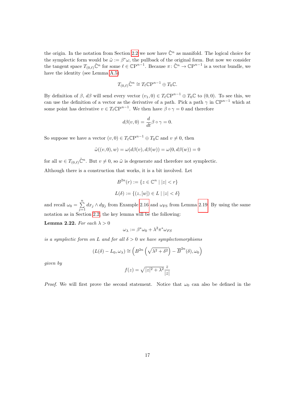the origin. In the notation from Section [2.2](#page-7-0) we now have  $\tilde{\mathbb{C}}^n$  as manifold. The logical choice for the symplectic form would be  $\tilde{\omega} := \beta^* \omega$ , the pullback of the original form. But now we consider the tangent space  $T_{(0,\ell)}\tilde{\mathbb{C}}^n$  for some  $\ell \in \mathbb{C}\mathbb{P}^{n-1}$ . Because  $\pi: \tilde{\mathbb{C}}^n \to \mathbb{C}\mathbb{P}^{n-1}$  is a vector bundle, we have the identity (see Lemma [A.5\)](#page-33-2)

$$
T_{(0,\ell)}\tilde{\mathbb{C}}^n \cong T_{\ell} \mathbb{C} P^{n-1} \oplus T_0 \mathbb{C}.
$$

By definition of  $\beta$ ,  $d\beta$  will send every vector  $(v_1, 0) \in T_{\ell} \mathbb{C}P^{n-1} \oplus T_0 \mathbb{C}$  to  $(0, 0)$ . To see this, we can use the definition of a vector as the derivative of a path. Pick a path  $\gamma$  in  $\mathbb{C}P^{n-1}$  which at some point has derivative  $v \in T_{\ell} \mathbb{C}P^{n-1}$ . We then have  $\beta \circ \gamma = 0$  and therefore

$$
d\beta(v,0) = \frac{d}{dt}\beta \circ \gamma = 0.
$$

So suppose we have a vector  $(v, 0) \in T_{\ell} \mathbb{C}P^{n-1} \oplus T_0 \mathbb{C}$  and  $v \neq 0$ , then

$$
\tilde{\omega}((v,0),w) = \omega(d\beta(v),d\beta(w)) = \omega(0,d\beta(w)) = 0
$$

for all  $w \in T_{(0,\ell)}\tilde{\mathbb{C}}^n$ . But  $v \neq 0$ , so  $\tilde{\omega}$  is degenerate and therefore not symplectic.

Although there is a construction that works, it is a bit involved. Let

$$
B^{2n}(r) := \{ z \in \mathbb{C}^n \mid |z| < r \}
$$
\n
$$
L(\delta) := \{ (z, [w]) \in L \mid |z| < \delta \}
$$

and recall  $\omega_0 = \sum_{n=1}^{\infty}$  $\sum_{j=1} dx_j \wedge dy_j$  from Example [2.16](#page-11-5) and  $\omega_{\text{FS}}$  from Lemma [2.19.](#page-12-0) By using the same notation as in Section [2.2,](#page-7-0) the key lemma will be the following:

<span id="page-17-0"></span>**Lemma 2.22.** For each  $\lambda > 0$ 

$$
\omega_{\lambda} := \beta^* \omega_0 + \lambda^2 \pi^* \omega_{FS}
$$

is a symplectic form on L and for all  $\delta > 0$  we have symplectomorphisms

$$
(L(\delta) - L_0, \omega_\lambda) \cong \left( B^{2n} \left( \sqrt{\lambda^2 + \delta^2} \right) - \overline{B}^{2n}(\delta), \omega_0 \right)
$$

given by

$$
f(z) = \sqrt{|z|^2 + \lambda^2} \frac{z}{|z|}
$$

*Proof.* We will first prove the second statement. Notice that  $\omega_0$  can also be defined in the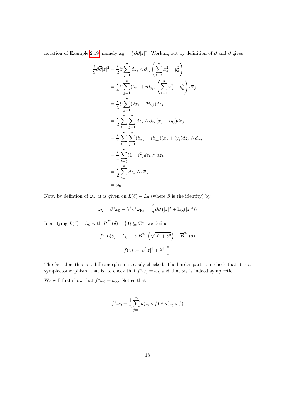notation of Example [2.19,](#page-12-0) namely  $\omega_0 = \frac{i}{2} \partial \overline{\partial} |z|^2$ . Working out by definition of  $\partial$  and  $\overline{\partial}$  gives

$$
\begin{split}\n\frac{i}{2}\partial\overline{\partial}|z|^{2} &= \frac{i}{2}\partial\sum_{j=1}^{n}d\overline{z}_{j}\wedge\partial_{\overline{z}_{j}}\left(\sum_{k=1}^{n}x_{k}^{2}+y_{k}^{2}\right) \\
&= \frac{i}{4}\partial\sum_{j=1}^{n}(\partial_{x_{j}}+i\partial_{y_{j}})\left(\sum_{k=1}^{n}x_{k}^{2}+y_{k}^{2}\right)d\overline{z}_{j} \\
&= \frac{i}{4}\partial\sum_{j=1}^{n}(2x_{j}+2iy_{j})d\overline{z}_{j} \\
&= \frac{i}{2}\sum_{k=1}^{n}\sum_{j=1}^{n}dz_{k}\wedge\partial_{z_{k}}(x_{j}+iy_{j})d\overline{z}_{j} \\
&= \frac{i}{4}\sum_{k=1}^{n}\sum_{j=1}^{n}(\partial_{x_{k}}-i\partial_{y_{k}})(x_{j}+iy_{j})dz_{k}\wedge d\overline{z}_{j} \\
&= \frac{i}{4}\sum_{k=1}^{n}(1-i^{2})dz_{k}\wedge d\overline{z}_{k} \\
&= \frac{i}{2}\sum_{k=1}^{n}dz_{k}\wedge d\overline{z}_{k} \\
&= \omega_{0}\n\end{split}
$$

Now, by defintion of  $\omega_{\lambda}$ , it is given on  $L(\delta) - L_0$  (where  $\beta$  is the identity) by

$$
\omega_{\lambda} = \beta^* \omega_0 + \lambda^2 \pi^* \omega_{\text{FS}} = \frac{i}{2} \partial \overline{\partial} (|z|^2 + \log(|z|^2))
$$

Identifying  $L(\delta) - L_0$  with  $\overline{B}^{2n}(\delta) - \{0\} \subseteq \mathbb{C}^n$ , we define

$$
f: L(\delta) - L_0 \longrightarrow B^{2n} \left(\sqrt{\lambda^2 + \delta^2}\right) - \overline{B}^{2n}(\delta)
$$

$$
f(z) := \sqrt{|z|^2 + \lambda^2} \frac{z}{|z|}
$$

The fact that this is a diffeomorphism is easily checked. The harder part is to check that it is a symplectomorphism, that is, to check that  $f^*\omega_0 = \omega_\lambda$  and that  $\omega_\lambda$  is indeed symplectic.

We will first show that  $f^*\omega_0 = \omega_\lambda$ . Notice that

$$
f^*\omega_0 = \frac{i}{2} \sum_{j=1}^n d(z_j \circ f) \wedge d(\overline{z}_j \circ f)
$$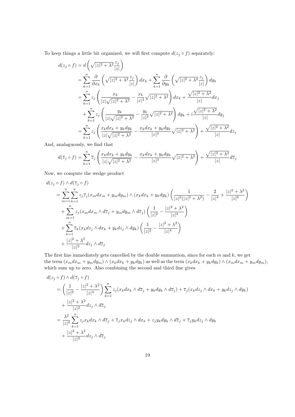To keep things a little bit organized, we will first compute  $d(z_j \circ f)$  separately:

$$
d(z_j \circ f) = d\left(\sqrt{|z|^2 + \lambda^2} \frac{z_j}{|z|}\right)
$$
  
\n
$$
= \sum_{k=1}^n \frac{\partial}{\partial x_k} \left(\sqrt{|z|^2 + \lambda^2} \frac{z_j}{|z|}\right) dx_k + \sum_{k=1}^n \frac{\partial}{\partial y_k} \left(\sqrt{|z|^2 + \lambda^2} \frac{z_j}{|z|}\right) dy_k
$$
  
\n
$$
= \sum_{k=1}^n z_j \left(\frac{x_k}{|z|\sqrt{|z|^2 + \lambda^2}} - \frac{x_k}{|z|^3} \sqrt{|z|^2 + \lambda^2}\right) dx_k + \frac{\sqrt{|z|^2 + \lambda^2}}{|z|} dx_j
$$
  
\n
$$
+ \sum_{k=1}^n z_j \left(\frac{y_k}{|z|\sqrt{|z|^2 + \lambda^2}} - \frac{y_k}{|z|^3} \sqrt{|z|^2 + \lambda^2}\right) dy_k + i \frac{\sqrt{|z|^2 + \lambda^2}}{|z|} dy_j
$$
  
\n
$$
= \sum_{k=1}^n z_j \left(\frac{x_k dx_k + y_k dy_k}{|z|\sqrt{|z|^2 + \lambda^2}} - \frac{x_k dx_k + y_k dy_k}{|z|^3} \sqrt{|z|^2 + \lambda^2}\right) + \frac{\sqrt{|z|^2 + \lambda^2}}{|z|} dz_j
$$

And, analaguously, we find that

$$
d(\overline{z}_j \circ f) = \sum_{k=1}^n \overline{z}_j \left( \frac{x_k dx_k + y_k dy_k}{|z|\sqrt{|z|^2 + \lambda^2}} - \frac{x_k dx_k + y_k dy_k}{|z|^3} \sqrt{|z|^2 + \lambda^2} \right) + \frac{\sqrt{|z|^2 + \lambda^2}}{|z|} d\overline{z}_j
$$

Now, we compute the wedge product

$$
d(z_j \circ f) \wedge d(\overline{z}_j \circ f)
$$
  
= 
$$
\sum_{m=1}^n \sum_{k=1}^n z_j \overline{z}_j (x_m dx_m + y_m dy_m) \wedge (x_k dx_k + y_k dy_k) \left( \frac{1}{|z|^2 (|z|^2 + \lambda^2)} - \frac{2}{|z|^4} + \frac{|z|^2 + \lambda^2}{|z|^6} \right)
$$
  
+ 
$$
\sum_{m=1}^n z_j (x_m dx_m \wedge d\overline{z}_j + y_m dy_m \wedge d\overline{z}_j) \left( \frac{1}{|z|^2} - \frac{|z|^2 + \lambda^2}{|z|^4} \right)
$$
  
+ 
$$
\sum_{k=1}^n \overline{z}_k (x_k dz_j \wedge dx_k + y_k dz_j \wedge dy_k) \left( \frac{1}{|z|^2} - \frac{|z|^2 + \lambda^2}{|z|^4} \right)
$$
  
+ 
$$
\frac{|z|^2 + \lambda^2}{|z|^2} dz_j \wedge d\overline{z}_j
$$

The first line immediately gets cancelled by the double summation, since for each  $m$  and  $k$ , we get the term  $(x_m dx_m + y_m dy_m) \wedge (x_k dx_k + y_k dy_k)$  as well as the term  $(x_k dx_k + y_k dy_k) \wedge (x_m dx_m + y_m dy_m)$ , which sum up to zero. Also combining the second and third line gives

$$
d(z_j \circ f) \wedge d(\overline{z}_j \circ f)
$$
  
=  $\left(\frac{1}{|z|^2} - \frac{|z|^2 + \lambda^2}{|z|^4}\right) \sum_{k=1}^n z_j (x_k dx_k \wedge d\overline{z}_j + y_k dy_k \wedge d\overline{z}_j) + \overline{z}_j (x_k dz_j \wedge dx_k + y_k dz_j \wedge dy_k)$   
+  $\frac{|z|^2 + \lambda^2}{|z|^2} dz_j \wedge d\overline{z}_j$   
=  $\frac{\lambda^2}{|z|^4} \sum_{k=1}^n z_j x_k dx_k \wedge d\overline{z}_j + \overline{z}_j x_k dz_j \wedge dx_k + z_j y_k dy_k \wedge d\overline{z}_j + \overline{z}_j y_k dz_j \wedge dy_k$   
+  $\frac{|z|^2 + \lambda^2}{|z|^2} dz_j \wedge d\overline{z}_j$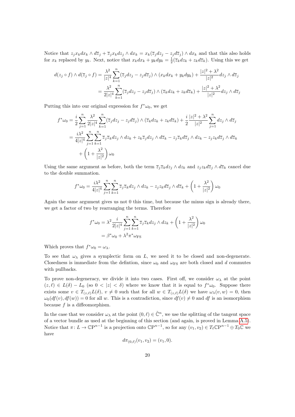Notice that  $z_jx_kdx_k \wedge d\overline{z}_j + \overline{z}_jx_kdz_j \wedge dx_k = x_k(\overline{z}_jdz_j - z_jd\overline{z}_j) \wedge dx_k$  and that this also holds for  $x_k$  replaced by  $y_k$ . Next, notice that  $x_k dx_k + y_k dy_k = \frac{1}{2}(\overline{z}_k dz_k + z_k d\overline{z}_k)$ . Using this we get

$$
d(z_j \circ f) \wedge d(\overline{z}_j \circ f) = \frac{\lambda^2}{|z|^4} \sum_{k=1}^n (\overline{z}_j dz_j - z_j d\overline{z}_j) \wedge (x_k dx_k + y_k dy_k) + \frac{|z|^2 + \lambda^2}{|z|^2} dz_j \wedge d\overline{z}_j
$$
  

$$
= \frac{\lambda^2}{2|z|^4} \sum_{k=1}^n (\overline{z}_j dz_j - z_j d\overline{z}_j) \wedge (\overline{z}_k dz_k + z_k d\overline{z}_k) + \frac{|z|^2 + \lambda^2}{|z|^2} dz_j \wedge d\overline{z}_j
$$

Putting this into our original expression for  $f^*\omega_0$ , we get

$$
f^*\omega_0 = \frac{i}{2} \sum_{j=1}^n \frac{\lambda^2}{2|z|^4} \sum_{k=1}^n (\overline{z}_j dz_j - z_j d\overline{z}_j) \wedge (\overline{z}_k dz_k + z_k d\overline{z}_k) + \frac{i}{2} \frac{|z|^2 + \lambda^2}{|z|^2} \sum_{j=1}^n dz_j \wedge d\overline{z}_j
$$
  

$$
= \frac{i\lambda^2}{4|z|^4} \sum_{j=1}^n \sum_{k=1}^n \overline{z}_j \overline{z}_k dz_j \wedge dz_k + z_k \overline{z}_j dz_j \wedge d\overline{z}_k - z_j \overline{z}_k d\overline{z}_j \wedge dz_k - z_j z_k d\overline{z}_j \wedge d\overline{z}_k
$$
  

$$
+ \left(1 + \frac{\lambda^2}{|z|^2}\right) \omega_0
$$

Using the same argument as before, both the term  $\overline{z}_j \overline{z}_k dz_j \wedge dz_k$  and  $z_j z_k d\overline{z}_j \wedge d\overline{z}_k$  cancel due to the double summation.

$$
f^*\omega_0 = \frac{i\lambda^2}{4|z|^4} \sum_{j=1}^n \sum_{k=1}^n \overline{z}_j \overline{z}_k dz_j \wedge dz_k - z_j z_k d\overline{z}_j \wedge d\overline{z}_k + \left(1 + \frac{\lambda^2}{|z|^2}\right) \omega_0
$$

Again the same argument gives us not 0 this time, but because the minus sign is already there, we get a factor of two by rearranging the terms. Therefore

$$
f^*\omega_0 = \lambda^2 \frac{i}{2|z|^4} \sum_{j=1}^n \sum_{k=1}^n \overline{z}_j \overline{z}_k dz_j \wedge dz_k + \left(1 + \frac{\lambda^2}{|z|^2}\right) \omega_0
$$
  
=  $\beta^*\omega_0 + \lambda^2 \pi^*\omega_{\text{FS}}$ 

Which proves that  $f^*\omega_0 = \omega_\lambda$ .

To see that  $\omega_{\lambda}$  gives a symplectic form on L, we need it to be closed and non-degenerate. Closedness is immediate from the defintion, since  $\omega_0$  and  $\omega_{FS}$  are both closed and d commutes with pullbacks.

To prove non-degeneracy, we divide it into two cases. First off, we consider  $\omega_{\lambda}$  at the point  $(z, \ell) \in L(\delta) - L_0$  (so  $0 < |z| < \delta$ ) where we know that it is equal to  $f^* \omega_0$ . Suppose there exists some  $v \in T_{(z,\ell)}L(\delta), v \neq 0$  such that for all  $w \in T_{(z,\ell)}L(\delta)$  we have  $\omega_\lambda(v, w) = 0$ , then  $\omega_0(df(v), df(w)) = 0$  for all w. This is a contradiction, since  $df(v) \neq 0$  and df is an isomorphism because  $f$  is a diffeomorphism.

In the case that we consider  $\omega_{\lambda}$  at the point  $(0, \ell) \in \tilde{\mathbb{C}}^n$ , we use the splitting of the tangent space of a vector bundle as used at the beginning of this section (and again, is proved in Lemma [A.5\)](#page-33-2). Notice that  $\pi: L \to \mathbb{C}P^{n-1}$  is a projection onto  $\mathbb{C}P^{n-1}$ , so for any  $(v_1, v_2) \in T_{\ell} \mathbb{C}P^{n-1} \oplus T_0 \mathbb{C}$  we have

$$
d\pi_{(0,\ell)}(v_1,v_2)=(v_1,0).
$$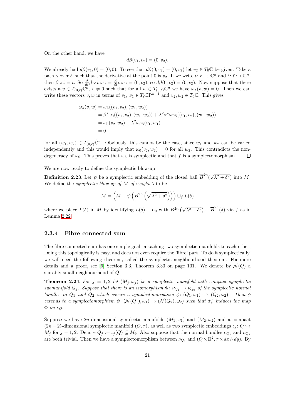On the other hand, we have

$$
d\beta(v_1, v_2) = (0, v_2).
$$

We already had  $d\beta(v_1, 0) = (0, 0)$ . To see that  $d\beta(0, v_2) = (0, v_2)$  let  $v_2 \in T_0 \mathbb{C}$  be given. Take a path  $\gamma$  over  $\ell$ , such that the derivative at the point 0 is  $v_2$ . If we write  $\iota: \ell \hookrightarrow \mathbb{C}^n$  and  $\tilde{\iota}: \ell \hookrightarrow \tilde{\mathbb{C}}^n$ , then  $\beta \circ \tilde{\iota} = \iota$ . So  $\frac{d}{dt} \beta \circ \tilde{\iota} \circ \gamma = \frac{d}{dt} \iota \circ \gamma = (0, v_2)$ , so  $d\beta(0, v_2) = (0, v_2)$ . Now suppose that there exists a  $v \in T_{(0,\ell)}\tilde{\mathbb{C}}^n$ ,  $v \neq 0$  such that for all  $w \in T_{(0,\ell)}\tilde{\mathbb{C}}^n$  we have  $\omega_\lambda(v,w) = 0$ . Then we can write these vectors  $v, w$  in terms of  $v_1, w_1 \in T_{\ell} \mathbb{C}P^{n-1}$  and  $v_2, w_2 \in T_0 \mathbb{C}$ . This gives

$$
\omega_{\lambda}(v, w) = \omega_{\lambda}((v_1, v_2), (w_1, w_2))
$$
  
=  $\beta^* \omega_0((v_1, v_2), (w_1, w_2)) + \lambda^2 \pi^* \omega_{\text{FS}}((v_1, v_2), (w_1, w_2))$   
=  $\omega_0(v_2, w_2) + \lambda^2 \omega_{\text{FS}}(v_1, w_1)$   
= 0

for all  $(w_1, w_2) \in T_{(0,\ell)}\tilde{\mathbb{C}}^n$ . Obviously, this cannot be the case, since  $w_1$  and  $w_2$  can be varied independently and this would imply that  $\omega_0(v_2, w_2) = 0$  for all  $w_2$ . This contradicts the nondegeneracy of  $\omega_0$ . This proves that  $\omega_\lambda$  is symplectic and that f is a symplectomorphism.  $\Box$ 

We are now ready to define the symplectic blow-up

**Definition 2.23.** Let  $\psi$  be a symplectic embedding of the closed ball  $\overline{B}^{2n}$  $(\sqrt{\lambda^2 + \delta^2})$  into M. We define the *symplectic blow-up of* M of weight  $\lambda$  to be

$$
\tilde{M} = \left( M - \psi \left( B^{2n} \left( \sqrt{\lambda^2 + \delta^2} \right) \right) \right) \cup_f L(\delta)
$$

where we place  $L(\delta)$  in M by identifying  $L(\delta) - L_0$  with  $B^{2n}(\sqrt{\lambda^2 + \delta^2}) - \overline{B}^{2n}(\delta)$  via f as in Lemma [2.22.](#page-17-0)

#### <span id="page-21-0"></span>2.3.4 Fibre connected sum

The fibre connected sum has one simple goal: attaching two symplectic manifolds to each other. Doing this topologically is easy, and does not even require the 'fibre' part. To do it symplectically, we will need the following theorem, called the symplectic neighbourhood theorem. For more details and a proof, see [\[6\]](#page-36-5) Section 3.3, Theorem 3.30 on page 101. We denote by  $\mathcal{N}(Q)$  a suitably small neighbourhood of Q.

**Theorem 2.24.** For  $j = 1, 2$  let  $(M_j, \omega_j)$  be a symplectic manifold with compact symplectic submanifold  $Q_j$ . Suppose that there is an isomorphism  $\Phi: \nu_{Q_1} \to \nu_{Q_2}$  of the symplectic normal bundles to  $Q_1$  and  $Q_2$  which covers a symplectomorphism  $\phi: (Q_1, \omega_1) \to (Q_2, \omega_2)$ . Then  $\phi$ extends to a symplectomorphism  $\psi: (\mathcal{N}(Q_1), \omega_1) \to (\mathcal{N}(Q_2), \omega_2)$  such that d $\psi$  induces the map  $\Phi$  on  $\nu_{Q_1}$ .

Suppose we have 2n-dimensional symplectic manifolds  $(M_1, \omega_1)$  and  $(M_2, \omega_2)$  and a compact  $(2n-2)$ -dimensional symplectic manifold  $(Q, \tau)$ , as well as two symplectic embeddings  $\iota_i : Q \hookrightarrow$  $M_j$  for  $j = 1, 2$ . Denote  $Q_j := \iota_j(Q) \subseteq M_i$ . Also suppose that the normal bundles  $\nu_{Q_1}$  and  $\nu_{Q_2}$ are both trivial. Then we have a symplectomorphism between  $\nu_{Q_j}$  and  $(Q \times \mathbb{R}^2, \tau \times dx \wedge dy)$ . By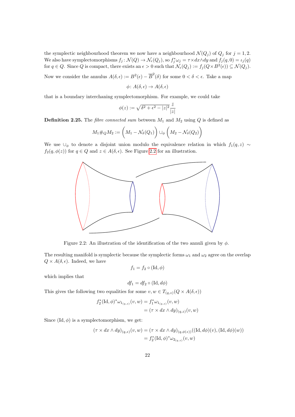the symplectic neighbourhood theorem we now have a neighbourhood  $\mathcal{N}(Q_i)$  of  $Q_i$  for  $j = 1, 2$ . We also have symplectomorphisms  $f_j: \mathcal{N}(Q) \to \mathcal{N}_{\epsilon}(Q_j)$ , so  $f_j^* \omega_j = \tau \times dx \wedge dy$  and  $f_j(q, 0) = \iota_j(q)$ for  $q \in Q$ . Since Q is compact, there exists an  $\epsilon > 0$  such that  $\mathcal{N}_{\epsilon}(Q_j) := f_j(Q \times B^2(\epsilon)) \subseteq \mathcal{N}(Q_j)$ .

Now we consider the annulus  $A(\delta, \epsilon) := B^2(\epsilon) - \overline{B}^2(\delta)$  for some  $0 < \delta < \epsilon$ . Take a map

 $\phi \colon A(\delta, \epsilon) \to A(\delta, \epsilon)$ 

that is a boundary interchaning symplectomorphism. For example, we could take

$$
\phi(z) := \sqrt{\delta^2 + \epsilon^2 - |z|^2} \frac{\bar{z}}{|z|}
$$

**Definition 2.25.** The *fibre connected sum* between  $M_1$  and  $M_2$  using Q is defined as

$$
M_1 \#_Q M_2 := \left( M_1 - \mathcal{N}_\delta(Q_1) \right) \cup_{\phi} \left( M_2 - \mathcal{N}_\delta(Q_2) \right)
$$

We use  $\cup_{\phi}$  to denote a disjoint union modulo the equivalence relation in which  $f_1(q, z) \sim$  $f_2(q, \phi(z))$  for  $q \in Q$  and  $z \in A(\delta, \epsilon)$ . See Figure [2.2](#page-22-0) for an illustration.



<span id="page-22-0"></span>Figure 2.2: An illustration of the identification of the two annuli given by  $\phi$ .

The resulting manifold is symplectic because the symplectic forms  $\omega_1$  and  $\omega_2$  agree on the overlap  $Q \times A(\delta, \epsilon)$ . Indeed, we have

$$
f_1 = f_2 \circ (\mathrm{Id}, \phi)
$$

which implies that

$$
df_1 = df_2 \circ (\mathrm{Id}, d\phi)
$$

This gives the following two equalities for some  $v, w \in T_{(q,z)}(Q \times A(\delta, \epsilon))$ 

$$
f_2^*(\mathrm{Id}, \phi)^* \omega_{1_{(q,z)}}(v, w) = f_1^* \omega_{1_{(q,z)}}(v, w)
$$
  
=  $(\tau \times dx \wedge dy)_{(q,z)}(v, w)$ 

Since  $(\mathrm{Id}, \phi)$  is a symplectomorphism, we get:

$$
(\tau \times dx \wedge dy)_{(q,z)}(v, w) = (\tau \times dx \wedge dy)_{(q,\phi(z))}((\mathrm{Id}, d\phi)(v), (\mathrm{Id}, d\phi)(w))
$$
  
=  $f_2^*(\mathrm{Id}, \phi)^* \omega_{2_{(q,z)}}(v, w)$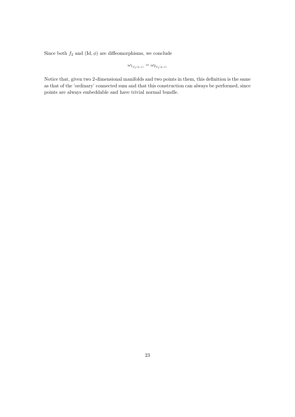Since both  $f_2$  and  $(\text{Id}, \phi)$  are diffeomorphisms, we conclude

$$
\omega_{1_{f_1(q,z)}}=\omega_{2_{f_1(q,z)}}
$$

Notice that, given two 2-dimensional manifolds and two points in them, this definition is the same as that of the 'ordinary' connected sum and that this construction can always be performed, since points are always embeddable and have trivial normal bundle.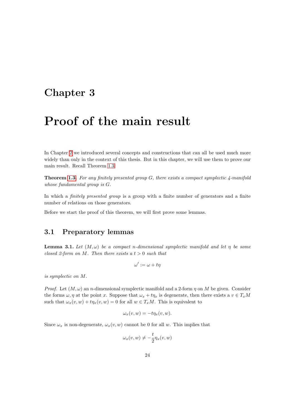## <span id="page-24-0"></span>Chapter 3

# Proof of the main result

In Chapter [2](#page-4-0) we introduced several concepts and constructions that can all be used much more widely than only in the context of this thesis. But in this chapter, we will use them to prove our main result. Recall Theorem [1.3:](#page-3-0)

**Theorem [1.3.](#page-3-0)** For any finitely presented group  $G$ , there exists a compact symplectic  $\lambda$ -manifold whose fundamental group is G.

In which a *finitely presented group* is a group with a finite number of generators and a finite number of relations on those generators.

Before we start the proof of this theorem, we will first prove some lemmas.

## <span id="page-24-1"></span>3.1 Preparatory lemmas

<span id="page-24-2"></span>**Lemma 3.1.** Let  $(M, \omega)$  be a compact n-dimensional symplectic manifold and let  $\eta$  be some closed 2-form on M. Then there exists a  $t > 0$  such that

$$
\omega' := \omega + t\eta
$$

is symplectic on M.

*Proof.* Let  $(M, \omega)$  an n-dimensional symplectic manifold and a 2-form  $\eta$  on M be given. Consider the forms  $\omega, \eta$  at the point x. Suppose that  $\omega_x + t\eta_x$  is degenerate, then there exists a  $v \in T_xM$ such that  $\omega_x(v, w) + t\eta_x(v, w) = 0$  for all  $w \in T_xM$ . This is equivalent to

$$
\omega_x(v, w) = -t\eta_x(v, w).
$$

Since  $\omega_x$  is non-degenerate,  $\omega_x(v, w)$  cannot be 0 for all w. This implies that

$$
\omega_x(v,w) \neq -\frac{t}{2}\eta_x(v,w)
$$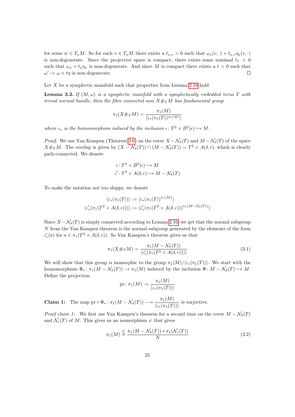for some  $w \in T_xM$ . So for each  $v \in T_xM$  there exists a  $t_{x,v} > 0$  such that  $\omega_x(v, \cdot) + t_{x,v}\eta_x(v, \cdot)$ is non-degenerate. Since the projective space is compact, there exists some minimal  $t_x > 0$ such that  $\omega_x + t_x \eta_x$  is non-degenerate. And since M is compact there exists a  $t > 0$  such that  $\omega' := \omega + t\eta$  is non-degenerate.  $\Box$ 

Let  $X$  be a symplectic manifold such that properties from Lemma [2.10](#page-8-1) hold.

<span id="page-25-2"></span>**Lemma 3.2.** If  $(M, \omega)$  is a symplectic manifold with a symplectically embedded torus T with trivial normal bundle, then the fibre connected sum  $X \#_T M$  has fundamental group

$$
\pi_1(X \#_T M) = \frac{\pi_1(M)}{\langle \iota_*(\pi_1(T))^{\pi_1(M)} \rangle}
$$

where  $\iota_*$  is the homomorphism induced by the inclusion  $\iota: T^2 \times B^2(\epsilon) \hookrightarrow M$ .

*Proof.* We use Van Kampen (Theorem [2.6\)](#page-6-1) on the cover  $X - \mathcal{N}_{\delta}(T)$  and  $M - \mathcal{N}_{\delta}(T)$  of the space  $X \#_T M$ . The overlap is given by  $(X - \mathcal{N}_{\delta}(T)) \cap (M - \mathcal{N}_{\delta}(T)) = T^2 \times A(\delta, \epsilon)$ , which is clearly path-connected. We denote

$$
\iota \colon T^2 \times B^2(\epsilon) \hookrightarrow M
$$
  

$$
\iota' \colon T^2 \times A(\delta, \epsilon) \hookrightarrow M - \mathcal{N}_{\delta}(T)
$$

To make the notation not too sloppy, we denote

$$
\langle \iota_*(\pi_1(T)) \rangle := \langle \iota_*(\pi_1(T))^{\pi_1(M)} \rangle
$$
  

$$
\langle \iota'_*(\pi_1(T^2 \times A(\delta, \epsilon))) \rangle := \langle \iota'_*(\pi_1(T^2 \times A(\delta, \epsilon)))^{\pi_1(M - \mathcal{N}_{\delta}(T))} \rangle
$$

Since  $X - \mathcal{N}_\delta(T)$  is simply connected according to Lemma [2.10,](#page-8-1) we get that the normal subgroup N from the Van Kampen theorem is the normal subgroup generated by the elements of the form  $\iota'_{*}(a)$  for  $a \in \pi_1(T^2 \times A(\delta, \epsilon))$ . So Van Kampen's theorem gives us that

<span id="page-25-1"></span>
$$
\pi_1(X \#_T M) = \frac{\pi_1(M - \mathcal{N}_\delta(T))}{\langle \iota'_*(\pi_1(T^2 \times A(\delta, \epsilon))) \rangle} \tag{3.1}
$$

We will show that this group is isomorphic to the group  $\pi_1(M)/\langle\iota_*(\pi_1(T))\rangle$ . We start with the homomorphism  $\Phi_* : \pi_1(M - \mathcal{N}_\delta(T)) \to \pi_1(M)$  induced by the inclusion  $\Phi: M - \mathcal{N}_\delta(T) \hookrightarrow M$ . Define the projection

$$
\text{pr}: \pi_1(M) \to \frac{\pi_1(M)}{\langle \iota_*(\pi_1(T)) \rangle}
$$

**Claim 1:** The map pr  $\circ \Phi_* : \pi_1(M - \mathcal{N}_\delta(T)) \longrightarrow \frac{\pi_1(M)}{\phi(\phi(\sigma))}$  $\frac{\pi_1(\mathfrak{m})}{\langle \iota_*(\pi_1(T)) \rangle}$  is surjective.

*Proof claim 1:* We first use Van Kampen's theorem for a second time on the cover  $M - \mathcal{N}_\delta(T)$ and  $\mathcal{N}_{\epsilon}(T)$  of M. This gives us an isomorphism  $\psi$  that gives

<span id="page-25-0"></span>
$$
\pi_1(M) \stackrel{\psi}{\cong} \frac{\pi_1(M - \mathcal{N}_\delta(T)) \ast \pi_1(\mathcal{N}_\epsilon(T))}{N} \tag{3.2}
$$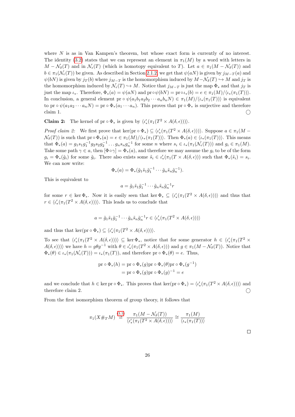where  $N$  is as in Van Kampen's theorem, but whose exact form is currently of no interest. The identity [\(3.2\)](#page-25-0) states that we can represent an element in  $\pi_1(M)$  by a word with letters in  $M - \mathcal{N}_\delta(T)$  and in  $\mathcal{N}_\epsilon(T)$  (which is homotopy equivalent to T). Let  $a \in \pi_1(M - \mathcal{N}_\delta(T))$  and  $b \in \pi_1(\mathcal{N}_{\epsilon}(T))$  be given. As described in Section [2.1.2,](#page-6-0) we get that  $\psi(aN)$  is given by  $j_{M-T}(a)$  and  $\psi(bN)$  is given by  $j_T(b)$  where  $j_{M-T}$  is the homomorphism induced by  $M-\mathcal{N}_{\delta}(T) \hookrightarrow M$  and  $j_T$  is the homomorphism induced by  $\mathcal{N}_{\epsilon}(T) \hookrightarrow M$ . Notice that  $j_{M-T}$  is just the map  $\Phi_*$  and that  $j_T$  is just the map  $\iota_*$ . Therefore,  $\Phi_*(a) = \psi(aN)$  and  $\text{pro } \psi(bN) = \text{pro } \iota_*(b) = e \in \pi_1(M)/\langle \iota_*(\pi_1(T)) \rangle$ . In conclusion, a general element pr ∘  $\psi(a_1b_1a_2b_2\cdots a_nb_nN) \in \pi_1(M)/\langle\iota_*(\pi_1(T))\rangle$  is equivalent to pr ∘  $\psi(a_1a_2\cdots a_nN) = \text{pr} \circ \Phi_*(a_1\cdots a_n)$ . This proves that  $\text{pr} \circ \Phi_*$  is surjective and therefore claim 1.  $\bigcirc$ 

**Claim 2:** The kernel of pr  $\circ \Phi_*$  is given by  $\langle \iota'_*(\pi_1(T^2 \times A(\delta, \epsilon))) \rangle$ .

*Proof claim 2:* We first prove that  $\ker(\text{pr}\circ \Phi_*)\subseteq \langle \iota'_*(\pi_1(T^2\times A(\delta,\epsilon)))\rangle$ . Suppose  $a\in \pi_1(M-\delta)$  $\mathcal{N}_{\delta}(T)$ ) is such that  $\mathrm{pr} \circ \Phi_*(a) = e \in \pi_1(M)/\langle \iota_*(\pi_1(T)) \rangle$ . Then  $\Phi_*(a) \in \langle \iota_*(\pi_1(T)) \rangle$ . This means that  $\Phi_*(a) = g_1 s_1 g_1^{-1} g_2 s_2 g_2^{-1} \dots g_n s_n g_n^{-1}$  for some n where  $s_i \in \iota_*(\pi_1(\mathcal{N}_\epsilon(T)))$  and  $g_i \in \pi_1(M)$ . Take some path  $\gamma \in a$ , then  $[\Phi \circ \gamma] = \Phi_*(a)$ , and therefore we may assume the  $g_i$  to be of the form  $g_i = \Phi_*(\tilde{g}_i)$  for some  $\tilde{g}_i$ . There also exists some  $\tilde{s}_i \in \iota'_*(\pi_1(T \times A(\delta, \epsilon)))$  such that  $\Phi_*(\tilde{s}_i) = s_i$ . We can now write:

$$
\Phi_*(a) = \Phi_*(\tilde{g}_1 \tilde{s}_1 \tilde{g}_1^{-1} \cdots \tilde{g}_n \tilde{s}_n \tilde{g}_n^{-1}).
$$

This is equivalent to

$$
a = \tilde{g}_1 \tilde{s}_1 \tilde{g}_1^{-1} \cdots \tilde{g}_n \tilde{s}_n \tilde{g}_n^{-1} r
$$

for some  $r \in \ker \Phi_*$ . Now it is easily seen that  $\ker \Phi_* \subseteq \langle \iota'_*(\pi_1(T^2 \times A(\delta, \epsilon))) \rangle$  and thus that  $r \in \langle \iota'_*(\pi_1(T^2 \times A(\delta, \epsilon))) \rangle$ . This leads us to conclude that

$$
a = \tilde{g}_1 \tilde{s}_1 \tilde{g}_1^{-1} \cdots \tilde{g}_n \tilde{s}_n \tilde{g}_n^{-1} r \in \langle \iota'_* (\pi_1(T^2 \times A(\delta, \epsilon))) \rangle
$$

and thus that ker(pr  $\circ \Phi_*$ )  $\subseteq \langle \iota'_*(\pi_1(T^2 \times A(\delta, \epsilon))) \rangle$ .

To see that  $\langle \iota'_*(\pi_1(T^2 \times A(\delta, \epsilon))) \rangle \subseteq \ker \Phi_*,$  notice that for some generator  $h \in \langle \iota'_*(\pi_1(T^2 \times A(\delta, \epsilon))) \rangle$  $A(\delta, \epsilon))$  we have  $h = g\theta g^{-1}$  with  $\theta \in \iota'_*(\pi_1(T^2 \times A(\delta, \epsilon)))$  and  $g \in \pi_1(M - \mathcal{N}_\delta(T))$ . Notice that  $\Phi_*(\theta) \in \iota_*(\pi_1(\mathcal{N}_\epsilon(T))) = \iota_*(\pi_1(T))$ , and therefore pr  $\circ \Phi_*(\theta) = e$ . Thus,

$$
\begin{aligned} \operatorname{pr} \circ \Phi_*(h) &= \operatorname{pr} \circ \Phi_*(g) \operatorname{pr} \circ \Phi_*(\theta) \operatorname{pr} \circ \Phi_*(g^{-1}) \\ &= \operatorname{pr} \circ \Phi_*(g) \operatorname{pr} \circ \Phi_*(g)^{-1} = e \end{aligned}
$$

and we conclude that  $h \in \text{ker pr} \circ \Phi_*$ . This proves that  $\text{ker(pr} \circ \Phi_*) = \langle \iota'_*(\pi_1(T^2 \times A(\delta, \epsilon))) \rangle$  and therefore claim 2.

From the first isomorphism theorem of group theory, it follows that

$$
\pi_1(X \#_T M) \stackrel{(3.1)}{\cong} \frac{\pi_1(M - \mathcal{N}_{\delta}(T))}{\langle \iota'_*(\pi_1(T^2 \times A(\delta, \epsilon))) \rangle} \cong \frac{\pi_1(M)}{\langle \iota_*(\pi_1(T)) \rangle}
$$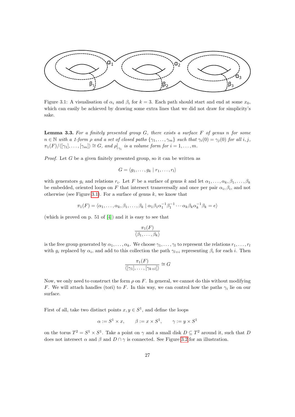

<span id="page-27-0"></span>Figure 3.1: A visualisation of  $\alpha_i$  and  $\beta_i$  for  $k = 3$ . Each path should start and end at some  $x_0$ , which can easily be achieved by drawing some extra lines that we did not draw for simplicity's sake.

<span id="page-27-1"></span>**Lemma 3.3.** For a finitely presented group  $G$ , there exists a surface  $F$  of genus n for some  $n \in \mathbb{N}$  with a 1-form  $\rho$  and a set of closed paths  $\{\gamma_1, \ldots, \gamma_m\}$  such that  $\gamma_i(0) = \gamma_j(0)$  for all i, j,  $\pi_1(F)/\langle [\gamma_1], \ldots, [\gamma_m] \rangle \cong G$ , and  $\rho|_{\gamma_i}$  is a volume form for  $i = 1, \ldots, m$ .

Proof. Let G be a given finitely presented group, so it can be written as

$$
G = \langle g_1, \ldots, g_k \mid r_1, \ldots, r_l \rangle
$$

with generators  $g_i$  and relations  $r_i$ . Let F be a surface of genus k and let  $\alpha_1, \ldots, \alpha_k, \beta_1, \ldots, \beta_k$ be embedded, oriented loops on F that intersect transversally and once per pair  $\alpha_i, \beta_i$ , and not otherwise (see Figure [3.1\)](#page-27-0). For a surface of genus  $k$ , we know that

$$
\pi_1(F) = \langle \alpha_1, \dots, \alpha_k, \beta_1, \dots, \beta_k \mid \alpha_1 \beta_1 \alpha_1^{-1} \beta_1^{-1} \cdots \alpha_k \beta_k \alpha_k^{-1} \beta_k = e \rangle
$$

(which is proved on p. 51 of [\[4\]](#page-36-2)) and it is easy to see that

$$
\frac{\pi_1(F)}{\langle \beta_1, \ldots, \beta_k \rangle}
$$

is the free group generated by  $\alpha_1, \ldots, \alpha_k$ . We choose  $\gamma_1, \ldots, \gamma_l$  to represent the relations  $r_1, \ldots, r_l$ with  $g_i$  replaced by  $\alpha_i$ , and add to this collection the path  $\gamma_{l+i}$  representing  $\beta_i$  for each i. Then

$$
\frac{\pi_1(F)}{\langle [\gamma_1], \ldots, [\gamma_{k+l}]\rangle} \cong G
$$

Now, we only need to construct the form  $\rho$  on F. In general, we cannot do this without modifying F. We will attach handles (tori) to F. In this way, we can control how the paths  $\gamma_i$  lie on our surface.

First of all, take two distinct points  $x, y \in S^1$ , and define the loops

$$
\alpha := S^1 \times x, \qquad \beta := x \times S^1, \qquad \gamma := y \times S^1
$$

on the torus  $T^2 = S^1 \times S^1$ . Take a point on  $\gamma$  and a small disk  $D \subseteq T^2$  around it, such that D does not intersect  $\alpha$  and  $\beta$  and  $D \cap \gamma$  is connected. See Figure [3.2](#page-28-0) for an illustration.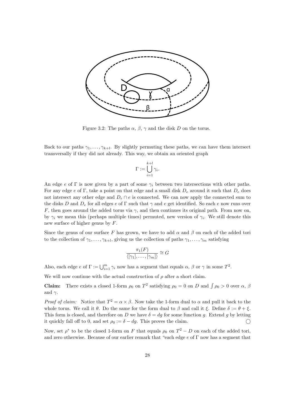

<span id="page-28-0"></span>Figure 3.2: The paths  $\alpha$ ,  $\beta$ ,  $\gamma$  and the disk D on the torus.

Back to our paths  $\gamma_1, \ldots, \gamma_{k+l}$ . By slightly permuting these paths, we can have them intersect transversally if they did not already. This way, we obtain an oriented graph

$$
\Gamma := \bigcup_{i=1}^{k+l} \gamma_i.
$$

An edge e of Γ is now given by a part of some  $\gamma_i$  between two intersections with other paths. For any edge e of Γ, take a point on that edge and a small disk  $D_e$  around it such that  $D_e$  does not intersect any other edge and  $D_e \cap e$  is connected. We can now apply the connected sum to the disks D and  $D_e$  for all edges  $e$  of  $\Gamma$  such that  $\gamma$  and  $e$  get identified. So each  $e$  now runs over F, then goes around the added torus via  $\gamma$ , and then continues its original path. From now on, by  $\gamma_i$  we mean this (perhaps multiple times) permuted, new version of  $\gamma_i$ . We still denote this new surface of higher genus by F.

Since the genus of our surface F has grown, we have to add  $\alpha$  and  $\beta$  on each of the added tori to the collection of  $\gamma_1, \ldots, \gamma_{k+l}$ , giving us the collection of paths  $\gamma_1, \ldots, \gamma_m$  satisfying

$$
\frac{\pi_1(F)}{\langle [\gamma_1], \dots, [\gamma_m] \rangle} \cong G
$$

Also, each edge  $e$  of  $\Gamma := \bigcup_{i=1}^m \gamma_i$  now has a segment that equals  $\alpha$ ,  $\beta$  or  $\gamma$  in some  $T^2$ .

We will now continue with the actual construction of  $\rho$  after a short claim.

**Claim:** There exists a closed 1-form  $\rho_0$  on  $T^2$  satisfying  $\rho_0 = 0$  on D and  $\int \rho_0 > 0$  over  $\alpha$ ,  $\beta$ and  $\gamma$ .

*Proof of claim:* Notice that  $T^2 = \alpha \times \beta$ . Now take the 1-form dual to  $\alpha$  and pull it back to the whole torus. We call it  $\theta$ . Do the same for the form dual to  $\beta$  and call it  $\xi$ . Define  $\delta := \theta + \xi$ . This form is closed, and therefore on D we have  $\delta = dg$  for some function g. Extend g by letting it quickly fall off to 0, and set  $\rho_0 := \delta - dg$ . This proves the claim.

Now, set  $\rho^*$  to be the closed 1-form on F that equals  $\rho_0$  on  $T^2 - D$  on each of the added tori, and zero otherwise. Because of our earlier remark that "each edge e of Γ now has a segment that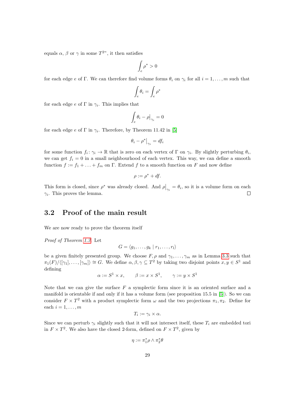equals  $\alpha$ ,  $\beta$  or  $\gamma$  in some  $T^{2}$ , it then satisfies

$$
\int_e \rho^* > 0
$$

for each edge e of Γ. We can therefore find volume forms  $\theta_i$  on  $\gamma_i$  for all  $i = 1, \ldots, m$  such that

$$
\int_e \theta_i = \int_e \rho^*
$$

for each edge  $e$  of  $\Gamma$  in  $\gamma_i$ . This implies that

$$
\int_e \theta_i - \rho \big|_{\gamma_i} = 0
$$

for each edge  $e$  of  $\Gamma$  in  $\gamma_i$ . Therefore, by Theorem 11.42 in [\[5\]](#page-36-1)

$$
\theta_i - \rho^* \big|_{\gamma_i} = df_i
$$

for some function  $f_i: \gamma_i \to \mathbb{R}$  that is zero on each vertex of  $\Gamma$  on  $\gamma_i$ . By slightly perturbing  $\theta_i$ , we can get  $f_i = 0$  in a small neighbourhood of each vertex. This way, we can define a smooth function  $f := f_1 + \ldots + f_m$  on  $\Gamma$ . Extend f to a smooth function on F and now define

$$
\rho := \rho^* + df.
$$

This form is closed, since  $\rho^*$  was already closed. And  $\rho|_{\gamma_i} = \theta_i$ , so it is a volume form on each  $\blacksquare$  $\gamma_i$ . This proves the lemma.  $\Box$ 

#### <span id="page-29-0"></span>3.2 Proof of the main result

We are now ready to prove the theorem itself

Proof of Theorem [1.3.](#page-3-0) Let

$$
G = \langle g_1, \ldots, g_k \mid r_1, \ldots, r_l \rangle
$$

be a given finitely presented group. We choose  $F, \rho$  and  $\gamma_1, \ldots, \gamma_m$  as in Lemma [3.3](#page-27-1) such that  $\pi_1(F)/\langle [\gamma_1], \ldots, [\gamma_m] \rangle \cong G$ . We define  $\alpha, \beta, \gamma \subseteq T^2$  by taking two disjoint points  $x, y \in S^1$  and defining

$$
\alpha := S^1 \times x, \qquad \beta := x \times S^1, \qquad \gamma := y \times S^1
$$

Note that we can give the surface  $F$  a symplectic form since it is an oriented surface and a manifold is orientable if and only if it has a volume form (see proposition 15.5 in [\[5\]](#page-36-1)). So we can consider  $F \times T^2$  with a product symplectic form  $\omega$  and the two projections  $\pi_1, \pi_2$ . Define for each  $i = 1, \ldots, m$ 

$$
T_i := \gamma_i \times \alpha.
$$

Since we can perturb  $\gamma_i$  slightly such that it will not intersect itself, these  $T_i$  are embedded tori in  $F \times T^2$ . We also have the closed 2-form, defined on  $F \times T^2$ , given by

$$
\eta:=\pi_1^*\rho\wedge\pi_2^*\theta
$$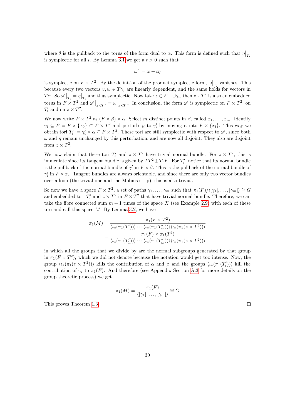where  $\theta$  is the pullback to the torus of the form dual to  $\alpha$ . This form is defined such that  $\eta|_{T_i}$ is symplectic for all *i*. By Lemma [3.1](#page-24-2) we get a  $t > 0$  such that

$$
\omega' := \omega + t\eta
$$

is symplectic on  $F \times T^2$ . By the definition of the product symplectic form,  $\omega|_{T_i}$  vanishes. This because every two vectors  $v, w \in T\gamma_i$  are linearly dependent, and the same holds for vectors in Ta. So  $\omega' \big|_{T_i} = \eta \big|_{T_i}$  and thus symplectic. Now take  $z \in F - \cup \gamma_i$ , then  $z \times T^2$  is also an embedded torus in  $F \times T^2$  and  $\omega' \big|_{z \times T^2} = \omega \big|_{z \times T^2}$ . In conclusion, the form  $\omega'$  is symplectic on  $F \times T^2$ , on  $T_i$  and on  $z \times T^2$ .

We now write  $F \times T^2$  as  $(F \times \beta) \times \alpha$ . Select m distinct points in  $\beta$ , called  $x_1, \ldots, x_m$ . Identify  $\gamma_i \subseteq F = F \times \{x_0\} \subset F \times T^2$  and perturb  $\gamma_i$  to  $\gamma'_i$  by moving it into  $F \times \{x_i\}$ . This way we obtain tori  $T_i' := \gamma_i' \times \alpha \subseteq F \times T^2$ . These tori are still symplectic with respect to  $\omega'$ , since both  $\omega$  and  $\eta$  remain unchanged by this perturbation, and are now all disjoint. They also are disjoint from  $z \times T^2$ .

We now claim that these tori  $T_i'$  and  $z \times T^2$  have trivial normal bundle. For  $z \times T^2$ , this is immediate since its tangent bundle is given by  $TT^2 \oplus T_zF$ . For  $T_i'$ , notice that its normal bundle is the pullback of the normal bundle of  $\gamma'_i$  in  $F \times \beta$ . This is the pullback of the normal bundle of  $\gamma_i'$  in  $F \times x_i$ . Tangent bundles are always orientable, and since there are only two vector bundles over a loop (the trivial one and the Möbius strip), this is also trivial.

So now we have a space  $F \times T^2$ , a set of paths  $\gamma_1, \ldots, \gamma_m$  such that  $\pi_1(F)/\langle [\gamma_1], \ldots, [\gamma_m] \rangle \cong G$ and embedded tori  $T_i'$  and  $z \times T^2$  in  $F \times T^2$  that have trivial normal bundle. Therefore, we can take the fibre connected sum  $m + 1$  times of the space X (see Example [2.9\)](#page-8-0) with each of these tori and call this space  $M$ . By Lemma [3.2,](#page-25-2) we have

$$
\pi_1(M) = \frac{\pi_1(F \times T^2)}{\langle \iota_*(\pi_1(T_1')) \rangle \cdots \langle \iota_*(\pi_1(T_m')) \rangle \langle \iota_*(\pi_1(z \times T^2)) \rangle}
$$

$$
= \frac{\pi_1(F) \times \pi_1(T^2)}{\langle \iota_*(\pi_1(T_1')) \rangle \cdots \langle \iota_*(\pi_1(T_m')) \rangle \langle \iota_*(\pi_1(z \times T^2)) \rangle}
$$

in which all the groups that we divide by are the normal subgroups generated by that group in  $\pi_1(F \times T^2)$ , which we did not denote because the notation would get too intense. Now, the group  $\langle \iota_*(\pi_1(z \times T^2)) \rangle$  kills the contribution of  $\alpha$  and  $\beta$  and the groups  $\langle \iota_*(\pi_1(T'_i)) \rangle$  kill the contribution of  $\gamma_i$  to  $\pi_1(F)$ . And therefore (see Appendix Section [A.3](#page-35-0) for more details on the group theoretic process) we get

$$
\pi_1(M) = \frac{\pi_1(F)}{\langle [\gamma_1], \dots, [\gamma_m] \rangle} \cong G
$$

This proves Theorem [1.3.](#page-3-0)

 $\Box$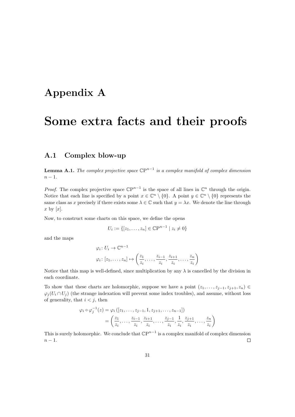## <span id="page-31-0"></span>Appendix A

# Some extra facts and their proofs

### <span id="page-31-1"></span>A.1 Complex blow-up

<span id="page-31-2"></span>**Lemma A.1.** The complex projective space  $\mathbb{C}P^{n-1}$  is a complex manifold of complex dimension  $n-1$ .

*Proof.* The complex projective space  $\mathbb{C}P^{n-1}$  is the space of all lines in  $\mathbb{C}^n$  through the origin. Notice that each line is specified by a point  $x \in \mathbb{C}^n \setminus \{0\}$ . A point  $y \in \mathbb{C}^n \setminus \{0\}$  represents the same class as x precisely if there exists some  $\lambda \in \mathbb{C}$  such that  $y = \lambda x$ . We denote the line through  $x$  by  $[x]$ .

Now, to construct some charts on this space, we define the opens

$$
U_i := \{ [z_1, \ldots, z_n] \in \mathbb{C}P^{n-1} \mid z_i \neq 0 \}
$$

and the maps

$$
\varphi_i: U_i \to \mathbb{C}^{n-1}
$$
  

$$
\varphi_i: [z_1, \ldots, z_n] \mapsto \left(\frac{z_1}{z_i}, \ldots, \frac{z_{i-1}}{z_i}, \frac{z_{i+1}}{z_i}, \ldots, \frac{z_n}{z_i}\right)
$$

Notice that this map is well-defined, since multiplication by any  $\lambda$  is cancelled by the division in each coordinate.

To show that these charts are holomorphic, suppose we have a point  $(z_1, \ldots, z_{j-1}, z_{j+1}, z_n) \in$  $\varphi_j(U_i \cap U_j)$  (the strange indexation will prevent some index troubles), and assume, without loss of generality, that  $i < j$ , then

$$
\varphi_i \circ \varphi_j^{-1}(z) = \varphi_i ([z_1, \dots, z_{j-1}, 1, z_{j+1}, \dots, z_{n-1}])
$$
  
=  $\left( \frac{z_1}{z_i}, \dots, \frac{z_{i-1}}{z_i}, \frac{z_{i+1}}{z_i}, \dots, \frac{z_{j-1}}{z_i}, \frac{1}{z_i}, \frac{z_{j+1}}{z_i}, \dots, \frac{z_n}{z_i} \right)$ 

This is surely holomorphic. We conclude that  $\mathbb{C}P^{n-1}$  is a complex manifold of complex dimension  $n-1$ .  $\Box$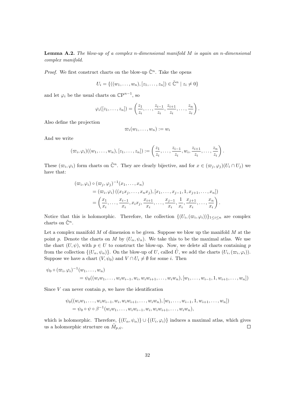<span id="page-32-0"></span>**Lemma A.2.** The blow-up of a complex n-dimensional manifold  $M$  is again an n-dimensional complex manifold.

*Proof.* We first construct charts on the blow-up  $\tilde{\mathbb{C}}^n$ . Take the opens

$$
U_i = \{((w_1, \ldots, w_n), [z_1, \ldots, z_n]) \in \tilde{C}^n \mid z_i \neq 0\}
$$

and let  $\varphi_i$  be the usual charts on  $\mathbb{C}P^{n-1}$ , so

$$
\varphi_i([z_1,\ldots,z_n])=\left(\frac{z_1}{z_i},\ldots,\frac{z_{i-1}}{z_i},\frac{z_{i+1}}{z_i},\ldots,\frac{z_n}{z_i}\right).
$$

Also define the projection

$$
\varpi_i(w_1,\ldots,w_n):=w_i
$$

And we write

$$
(\varpi_i,\varphi_i)((w_1,\ldots,w_n),[z_1,\ldots,z_n]):=\left(\frac{z_1}{z_i},\ldots,\frac{z_{i-1}}{z_i},w_i,\frac{z_{i+1}}{z_i},\ldots,\frac{z_n}{z_i}\right).
$$

These  $(\varpi_i, \varphi_i)$  form charts on  $\tilde{\mathbb{C}}^n$ . They are clearly bijective, and for  $x \in (\varpi_j, \varphi_j)(U_i \cap U_j)$  we have that:

$$
(\varpi_i, \varphi_i) \circ (\varpi_j, \varphi_j)^{-1}(x_1, \dots, x_n)
$$
  
=  $(\varpi_i, \varphi_i) ((x_1 x_j, \dots, x_n x_j), [x_1, \dots, x_{j-1}, 1, x_{j+1}, \dots, x_n])$   
=  $\left(\frac{x_1}{x_i}, \dots, \frac{x_{i-1}}{x_i}, x_i x_j, \frac{x_{i+1}}{x_i}, \dots, \frac{x_{j-1}}{x_i}, \frac{1}{x_i}, \frac{x_{j+1}}{x_i}, \dots, \frac{x_n}{x_i}\right).$ 

Notice that this is holomorphic. Therefore, the collection  $\{(U_i, (\varpi_i, \varphi_i))\}_{1 \leq i \leq n}$  are complex charts on  $\tilde{\mathbb{C}}^n$ .

Let a complex manifold  $M$  of dimension  $n$  be given. Suppose we blow up the manifold  $M$  at the point p. Denote the charts on M by  $(U_{\alpha}, \psi_{\alpha})$ . We take this to be the maximal atlas. We use the chart  $(U, \psi)$ , with  $p \in U$  to construct the blow-up. Now, we delete all charts containing p from the collection  $\{(U_\alpha,\psi_\alpha)\}\$ . On the blow-up of U, called  $\tilde{U}$ , we add the charts  $(U_i, (\varpi_i, \varphi_i))$ . Suppose we have a chart  $(V, \psi_0)$  and  $V \cap U_i \neq \emptyset$  for some *i*. Then

$$
\psi_0 \circ (\varpi_i, \varphi_i)^{-1}(w_1, \dots, w_n)
$$
  
=  $\psi_0((w_i w_1, \dots, w_i w_{i-1}, w_i, w_i w_{i+1}, \dots, w_i w_n), [w_1, \dots, w_{i-1}, 1, w_{i+1}, \dots, w_n])$ 

Since  $V$  can never contain  $p$ , we have the identification

$$
\psi_0((w_iw_1,\ldots,w_iw_{i-1},w_i,w_iw_{i+1},\ldots,w_iw_n),[w_1,\ldots,w_{i-1},1,w_{i+1},\ldots,w_n])
$$
  
=  $\psi_0 \circ \psi \circ \beta^{-1}(w_iw_1,\ldots,w_iw_{i-1},w_i,w_iw_{i+1},\ldots,w_iw_n),$ 

which is holomorphic. Therefore,  $\{(U_\alpha,\psi_\alpha)\}\cup\{(U_i,\varphi_i)\}\$  induces a maximal atlas, which gives us a holomorphic structure on  $\tilde{M}_{p,\psi}$ .  $\Box$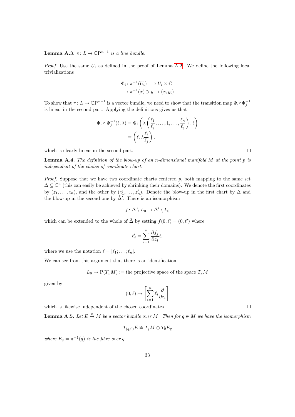<span id="page-33-0"></span>**Lemma A.3.**  $\pi: L \to \mathbb{C}P^{n-1}$  is a line bundle.

*Proof.* Use the same  $U_i$  as defined in the proof of Lemma [A.2.](#page-32-0) We define the following local trivializations

$$
\Phi_i \colon \pi^{-1}(U_i) \longrightarrow U_i \times \mathbb{C}
$$
  

$$
\colon \pi^{-1}(x) \ni y \mapsto (x, y_i)
$$

To show that  $\pi: L \to \mathbb{C}P^{n-1}$  is a vector bundle, we need to show that the transition map  $\Phi_i \circ \Phi_j^{-1}$ is linear in the second part. Applying the definitions gives us that

$$
\Phi_i \circ \Phi_j^{-1}(\ell, \lambda) = \Phi_i\left(\lambda\left(\frac{\ell_1}{\ell_j}, \dots, 1, \dots, \frac{\ell_n}{\ell_j}\right), \ell\right)
$$

$$
= \left(\ell, \lambda \frac{\ell_i}{\ell_j}\right),
$$

which is clearly linear in the second part.

<span id="page-33-1"></span>**Lemma A.4.** The definition of the blow-up of an n-dimensional manifold  $M$  at the point  $p$  is independent of the choice of coordinate chart.

*Proof.* Suppose that we have two coordinate charts centered  $p$ , both mapping to the same set  $\Delta \subseteq \mathbb{C}^n$  (this can easily be achieved by shrinking their domains). We denote the first coordinates by  $(z_1, \ldots, z_n)$ , and the other by  $(z'_1, \ldots, z'_n)$ . Denote the blow-up in the first chart by  $\tilde{\Delta}$  and the blow-up in the second one by  $\tilde{\Delta}'$ . There is an isomorphism

$$
f\colon \tilde{\Delta}\setminus L_0\to \tilde{\Delta}'\setminus L_0
$$

which can be extended to the whole of  $\tilde{\Delta}$  by setting  $f(0, \ell) = (0, \ell')$  where

$$
\ell_j' = \sum_{i=1}^n \frac{\partial f_j}{\partial z_i} \ell_i
$$

where we use the notation  $\ell = [\ell_1; \ldots; \ell_n].$ 

We can see from this argument that there is an identification

 $L_0 \to P(T_x M) :=$  the projective space of the space  $T_x M$ 

given by

$$
(0,\ell)\mapsto \left[\sum_{i=1}^n \ell_i \frac{\partial}{\partial z_i}\right]
$$

which is likewise independent of the chosen coordinates.

<span id="page-33-2"></span>**Lemma A.5.** Let  $E \stackrel{\pi}{\rightarrow} M$  be a vector bundle over M. Then for  $q \in M$  we have the isomorphism

$$
T_{(q,0)}E \cong T_qM \oplus T_0E_q
$$

where  $E_q = \pi^{-1}(q)$  is the fibre over q.

 $\Box$ 

 $\Box$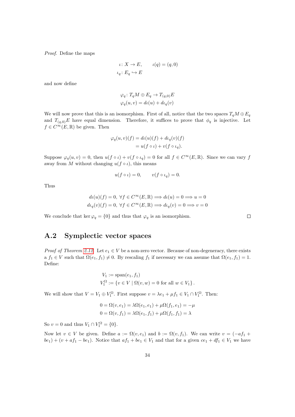Proof. Define the maps

$$
\iota: X \to E, \qquad \iota(q) = (q, 0)
$$
  

$$
\iota_q: E_q \hookrightarrow E
$$

and now define

$$
\varphi_q \colon T_qM \oplus E_q \to T_{(q,0)}E
$$
  

$$
\varphi_q(u, v) = d\iota(u) + d\iota_q(v)
$$

We will now prove that this is an isomorphism. First of all, notice that the two spaces  $T_qM \oplus E_q$ and  $T_{(q,0)}E$  have equal dimension. Therefore, it suffices to prove that  $\phi_q$  is injective. Let  $f \in C^{\infty}(E, \mathbb{R})$  be given. Then

$$
\varphi_q(u, v)(f) = d\iota(u)(f) + d\iota_q(v)(f)
$$
  
=  $u(f \circ \iota) + v(f \circ \iota_q).$ 

Suppose  $\varphi_q(u, v) = 0$ , then  $u(f \circ \iota) + v(f \circ \iota_q) = 0$  for all  $f \in C^\infty(E, \mathbb{R})$ . Since we can vary f away from M without changing  $u(f \circ \iota)$ , this means

$$
u(f \circ \iota) = 0, \qquad v(f \circ \iota_q) = 0.
$$

Thus

$$
d\iota(u)(f) = 0, \ \forall f \in C^{\infty}(E, \mathbb{R}) \Longrightarrow d\iota(u) = 0 \Longrightarrow u = 0
$$

$$
d\iota_q(v)(f) = 0, \ \forall f \in C^{\infty}(E, \mathbb{R}) \Longrightarrow d\iota_q(v) = 0 \Longrightarrow v = 0
$$

We conclude that ker  $\varphi_q = \{0\}$  and thus that  $\varphi_q$  is an isomorphism.

### <span id="page-34-0"></span>A.2 Symplectic vector spaces

*Proof of Theorem [2.12.](#page-11-4)* Let  $e_1 \in V$  be a non-zero vector. Because of non-degeneracy, there exists a  $f_1 \in V$  such that  $\Omega(e_1, f_1) \neq 0$ . By rescaling  $f_1$  if necessary we can assume that  $\Omega(e_1, f_1) = 1$ . Define:

$$
V_1 := \text{span}(e_1, f_1)
$$
  

$$
V_1^{\Omega} := \{ v \in V \mid \Omega(v, w) = 0 \text{ for all } w \in V_1 \}.
$$

We will show that  $V = V_1 \oplus V_1^{\Omega}$ . First suppose  $v = \lambda e_1 + \mu f_1 \in V_1 \cap V_1^{\Omega}$ . Then:

$$
0 = \Omega(v, e_1) = \lambda \Omega(e_1, e_1) + \mu \Omega(f_1, e_1) = -\mu
$$
  

$$
0 = \Omega(v, f_1) = \lambda \Omega(e_1, f_1) + \mu \Omega(f_1, f_1) = \lambda
$$

So  $v = 0$  and thus  $V_1 \cap V_1^{\Omega} = \{0\}.$ 

Now let  $v \in V$  be given. Define  $a := \Omega(v, e_1)$  and  $b := \Omega(v, f_1)$ . We can write  $v = (-af_1 + b)$  $be_1$ ) +  $(v + af_1 - be_1)$ . Notice that  $af_1 + be_1 \in V_1$  and that for a given  $ce_1 + df_1 \in V_1$  we have

 $\Box$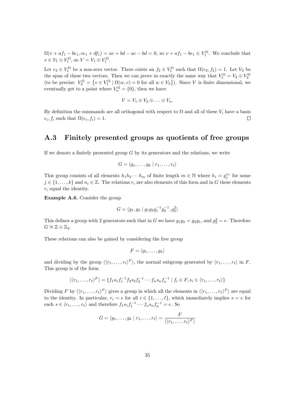$\Omega(v + af_1 - be_1, ce_1 + df_1) = ac + bd - ac - bd = 0$ , so  $v + af_1 - be_1 \in V_1^{\Omega}$ . We conclude that  $v \in V_1 \oplus V_1^{\Omega}$ , so  $V = V_1 \oplus V_1^{\Omega}$ .

Let  $e_2 \in V_1^{\Omega}$  be a non-zero vector. There exists an  $f_2 \in V_1^{\Omega}$  such that  $\Omega(e_2, f_2) = 1$ . Let  $V_2$  be the span of these two vectors. Then we can prove in exactly the same way that  $V_1^{\Omega} = V_2 \oplus V_2^{\Omega}$ (to be precise:  $V_2^{\Omega} = \{v \in V_1^{\Omega} \mid \Omega(w, v) = 0 \text{ for all } w \in V_2\}$ ). Since V is finite dimensional, we eventually get to a point where  $V_n^{\Omega} = \{0\}$ , then we have:

$$
V=V_1\oplus V_2\oplus\ldots\oplus V_n.
$$

By definition the summands are all orthogonal with respect to  $\Omega$  and all of these  $V_i$  have a basis  $\Box$  $e_i, f_i$  such that  $\Omega(e_i, f_i) = 1$ .

### <span id="page-35-0"></span>A.3 Finitely presented groups as quotients of free groups

If we denote a finitely presented group  $G$  by its generators and the relations, we write

$$
G = \langle g_1, \ldots, g_k \mid r_1, \ldots, r_\ell \rangle
$$

This group consists of all elements  $h_1 h_2 \cdots h_m$  of finite length  $m \in \mathbb{N}$  where  $h_i = g_j^{n_i}$  for some  $j \in \{1, \ldots, k\}$  and  $n_i \in \mathbb{Z}$ . The relations  $r_i$  are also elements of this form and in G these elements  $r_i$  equal the identity.

Example A.6. Consider the group

$$
G = \langle g_1, g_2 \mid g_1 g_2 g_1^{-1} g_2^{-1}, g_2^2 \rangle
$$

This defines a group with 2 generators such that in G we have  $g_1g_2 = g_2g_1$ , and  $g_2^2 = e$ . Therefore  $G \cong \mathbb{Z} \oplus \mathbb{Z}_2.$ 

These relations can also be gained by considering the free group

$$
F = \langle g_1, \ldots, g_k \rangle
$$

and dividing by the group  $\langle\langle r_1, \ldots, r_\ell\rangle^F\rangle$ , the normal subgroup generated by  $\langle r_1, \ldots, r_\ell\rangle$  in F. This group is of the form

$$
\langle \langle r_1, \ldots, r_\ell \rangle^F \rangle = \{ f_1 s_1 f_1^{-1} f_2 s_2 f_2^{-1} \cdots f_n s_n f_n^{-1} \mid f_i \in F, s_i \in \langle r_1, \ldots, r_\ell \rangle \}
$$

Dividing F by  $\langle (r_1, \ldots, r_\ell)^F \rangle$  gives a group in which all the elements in  $\langle (r_1, \ldots, r_\ell)^F \rangle$  are equal to the identity. In particular,  $r_i = e$  for all  $i \in \{1, \ldots, \ell\}$ , which immediately implies  $s = e$  for each  $s \in \langle r_1, \ldots, r_\ell \rangle$  and therefore  $f_1 s_1 f_1^{-1} \cdots f_n s_n f_n^{-1} = e$ . So

$$
G = \langle g_1, \ldots, g_k \mid r_1, \ldots, r_\ell \rangle = \frac{F}{\langle \langle r_1, \ldots, r_\ell \rangle^F \rangle}
$$